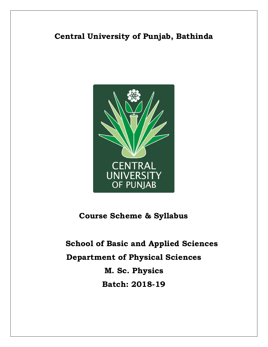## **Central University of Punjab, Bathinda**



## **Course Scheme & Syllabus**

**School of Basic and Applied Sciences Department of Physical Sciences M. Sc. Physics Batch: 2018-19**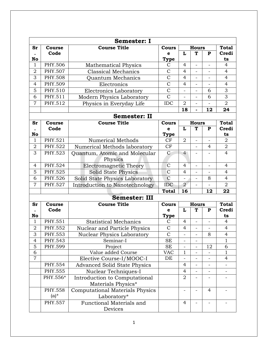|                  |                | <b>Semester: I</b>                     |                |                          |                          |                          |                  |
|------------------|----------------|----------------------------------------|----------------|--------------------------|--------------------------|--------------------------|------------------|
| Sr               | <b>Course</b>  | <b>Course Title</b>                    | Cours          |                          | <b>Hours</b>             |                          | <b>Total</b>     |
|                  | Code           |                                        | e              | L                        | T                        | $\mathbf{P}$             | Credi            |
| No               |                |                                        | Type           |                          |                          |                          | ts               |
| $\mathbf{1}$     | PHY.506        | <b>Mathematical Physics</b>            | C              | $\overline{4}$           | $\overline{\phantom{0}}$ |                          | $\overline{4}$   |
| $\overline{2}$   | PHY.507        | <b>Classical Mechanics</b>             | $\mathcal{C}$  | $\overline{4}$           | $\overline{\phantom{0}}$ | $\overline{a}$           | $\overline{4}$   |
| 3                | <b>PHY.508</b> | Quantum Mechanics                      | $\overline{C}$ | $\overline{4}$           | $\overline{\phantom{0}}$ | $\overline{\phantom{0}}$ | $\overline{4}$   |
| $\overline{4}$   | PHY.509        | Electronics                            | $\overline{C}$ | $\overline{4}$           | $\overline{\phantom{0}}$ | $\overline{\phantom{0}}$ | $\overline{4}$   |
| 5                | PHY.510        | Electronics Laboratory                 | $\overline{C}$ |                          |                          | 6                        | 3                |
| 6                | PHY.511        | Modern Physics Laboratory              | $\overline{C}$ | $\overline{a}$           | $\qquad \qquad -$        | 6                        | 3                |
| $\overline{7}$   | PHY.512        | Physics in Everyday Life               | <b>IDC</b>     | $\overline{2}$           | $\overline{\phantom{0}}$ |                          | $\overline{2}$   |
|                  |                |                                        |                | 18                       |                          | 12                       | 24               |
|                  |                | <b>Semester: II</b>                    |                |                          |                          |                          |                  |
| Sr               | <b>Course</b>  | <b>Course Title</b>                    | Cours          |                          | <b>Hours</b>             |                          | <b>Total</b>     |
|                  | Code           |                                        | e              | L<br>T<br>P              |                          |                          | Credi            |
| No               |                |                                        | Type           |                          |                          |                          | ts               |
| $\mathbf{1}$     | <b>PHY.521</b> | <b>Numerical Methods</b>               | CF             | $\overline{2}$           | $\overline{a}$           |                          | $\overline{2}$   |
| $\mathbf 2$      | PHY.522        | Numerical Methods laboratory           | CF             |                          | $\overline{\phantom{0}}$ | 4                        | $\boldsymbol{2}$ |
| 3                | PHY.523        | Quantum, Atomic and Molecular          | $\mathcal{C}$  | $\overline{4}$           | $\overline{\phantom{0}}$ |                          | $\overline{4}$   |
|                  |                | Physics                                |                |                          |                          |                          |                  |
| 4                | PHY.524        | <b>Electromagnetic Theory</b>          | $\mathcal{C}$  | $\overline{4}$           | $\overline{\phantom{0}}$ | $\overline{\phantom{0}}$ | $\overline{4}$   |
| 5                | PHY.525        | Solid State Physics                    | $\overline{C}$ | $\overline{4}$           |                          |                          | $\overline{4}$   |
| 6                | PHY.526        | Solid State Physics Laboratory         | $\mathcal{C}$  | $\overline{\phantom{a}}$ | $\overline{\phantom{0}}$ | 8                        | $\overline{4}$   |
| $\overline{7}$   | PHY.527        | Introduction to Nanotechnology         | <b>IDC</b>     | $\overline{2}$           | $\overline{\phantom{0}}$ |                          | $\overline{2}$   |
|                  |                |                                        | <b>Total</b>   | 16                       |                          | 12                       | 22               |
|                  |                | <b>Semester: III</b>                   |                |                          |                          |                          |                  |
| Sr               | <b>Course</b>  | <b>Course Title</b>                    | Cours          |                          | <b>Hours</b>             |                          | <b>Total</b>     |
|                  | Code           |                                        | e              | L                        | T                        | ${\bf P}$                | Credi            |
| No               |                |                                        | <b>Type</b>    |                          |                          |                          | ts               |
| $\mathbf{1}$     | PHY.551        | <b>Statistical Mechanics</b>           | C              | 4                        |                          |                          | $\overline{4}$   |
| $\overline{2}$   | PHY.552        | Nuclear and Particle Physics           | $\overline{C}$ | $\overline{4}$           | $\overline{\phantom{0}}$ |                          | $\overline{4}$   |
| 3                | PHY.553        | <b>Nuclear Physics Laboratory</b>      | $\mathcal{C}$  | $\overline{a}$           | $\overline{\phantom{a}}$ | 8                        | $\overline{4}$   |
| $\overline{4}$   | PHY.543        | Seminar-I                              | <b>SE</b>      |                          |                          |                          | $\mathbf 1$      |
| $\overline{5}$   | PHY.599        | Project                                | <b>SE</b>      | $\overline{\phantom{0}}$ | $\overline{\phantom{0}}$ | 12                       | 6                |
| 6                |                | Value added Course                     | <b>VAC</b>     | $\mathbf{1}$             | $\overline{\phantom{0}}$ |                          | 1                |
| $\boldsymbol{7}$ |                | Elective Course-I/MOOC-I               | DE             | $\overline{a}$           |                          |                          | $\overline{4}$   |
|                  | PHY.554        | <b>Advanced Solid State Physics</b>    |                | 4                        | $\overline{\phantom{0}}$ | $\overline{\phantom{0}}$ |                  |
|                  | PHY.555        | Nuclear Techniques-I                   |                | $\overline{4}$           | $\overline{a}$           | $\overline{\phantom{0}}$ |                  |
|                  | PHY.556*       | Introduction to Computational          |                | $\overline{2}$           |                          |                          |                  |
|                  |                | Materials Physics*                     |                |                          |                          |                          |                  |
|                  | PHY.558        | <b>Computational Materials Physics</b> |                |                          |                          | $\overline{4}$           |                  |
|                  | $(a)^*$        | Laboratory*                            |                |                          |                          |                          |                  |
|                  | PHY.557        | Functional Materials and               |                | $\overline{4}$           | $\overline{\phantom{a}}$ |                          |                  |
|                  |                | Devices                                |                |                          |                          |                          |                  |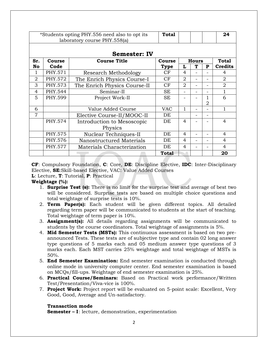|                | *Students opting PHY.556 need also to opt its<br>laboratory course PHY.558(a) |                              |              |                |                          |                          | 24             |  |  |
|----------------|-------------------------------------------------------------------------------|------------------------------|--------------|----------------|--------------------------|--------------------------|----------------|--|--|
|                |                                                                               | <b>Semester: IV</b>          |              |                |                          |                          |                |  |  |
| Sr.            | <b>Course Title</b><br><b>Total</b><br>Course<br><b>Hours</b><br>Course       |                              |              |                |                          |                          |                |  |  |
| No             | Code                                                                          |                              | <b>Type</b>  | L              | ፐ                        | P                        | <b>Credits</b> |  |  |
|                | PHY.571                                                                       | Research Methodology         | CF           | 4              |                          |                          | 4              |  |  |
| $\overline{2}$ | PHY.572                                                                       | The Enrich Physics Course-I  | CF           | $\overline{2}$ |                          |                          | $\overline{2}$ |  |  |
| 3              | PHY.573                                                                       | The Enrich Physics Course-II | CF           | $\overline{2}$ | $\overline{\phantom{0}}$ | $\overline{\phantom{0}}$ | $\overline{2}$ |  |  |
| 4              | PHY.544                                                                       | Seminar-II                   | <b>SE</b>    |                | $\overline{\phantom{0}}$ | $\overline{\phantom{0}}$ | 1              |  |  |
| 5              | PHY.599                                                                       | Project Work-II              | <b>SE</b>    |                |                          |                          | 6              |  |  |
|                |                                                                               |                              |              |                |                          | $\overline{2}$           |                |  |  |
| 6              |                                                                               | Value Added Course           | <b>VAC</b>   | 1              | $\overline{\phantom{0}}$ | $\overline{\phantom{0}}$ | 1              |  |  |
| $\overline{7}$ |                                                                               | Elective Course-II/MOOC-II   | DE           |                |                          |                          |                |  |  |
|                | PHY.574                                                                       | Introduction to Mesoscopic   | DE           | 4              |                          |                          | 4              |  |  |
|                |                                                                               | Physics                      |              |                |                          |                          |                |  |  |
|                | PHY.575                                                                       | Nuclear Techniques-II        | DE           | 4              |                          |                          | 4              |  |  |
|                | PHY.576                                                                       | Nanostructured Materials     | DE           | 4              |                          |                          | 4              |  |  |
|                | PHY.577                                                                       | Materials Characterization   | DE           | 4              |                          |                          | 4              |  |  |
|                |                                                                               |                              | <b>Total</b> |                |                          |                          | 20             |  |  |

**CF**: Compulsory Foundation, **C**: Core, **DE**: Discipline Elective, **IDC**: Inter-Disciplinary Elective, **SE**:Skill-based Elective, VAC: Value Added Courses

**L**: Lecture, **T**: Tutorial, **P**: Practical

#### **Weightage (%):**

- 1. **Surprise Test (s):** There is no limit for the surprise test and average of best two will be considered. Surprise tests are based on multiple choice questions and total weightage of surprise tests is 10%.
- 2. **Term Paper(s):** Each student will be given different topics. All detailed regarding term paper will be communicated to students at the start of teaching. Total weightage of term paper is 10%.
- 3. **Assignment(s):** All details regarding assignments will be communicated to students by the course coordinators. Total weightage of assignments is 5%.
- 4. **Mid Semester Tests (MSTs):** This continuous assessment is based on two preannounced Tests. These tests are of subjective type and contain 02 long answer type questions of 5 marks each and 05 medium answer type questions of 3 marks each. Each MST carries 25% weightage and total weightage of MSTs is 50%.
- 5. **End Semester Examination:** End semester examination is conducted through online mode in university computer center. End semester examination is based on MCQs/fill-ups. Weightage of end semester examination is 25%.
- 6. **Practical Course/Seminars:** Based on Practical work performance/Written Test/Presentation/Viva-vice is 100%.
- 7. **Project Work:** Project report will be evaluated on 5-point scale: Excellent, Very Good, Good, Average and Un-satisfactory.

#### **Transaction mode**

**Semester – I** : lecture, demonstration, experimentation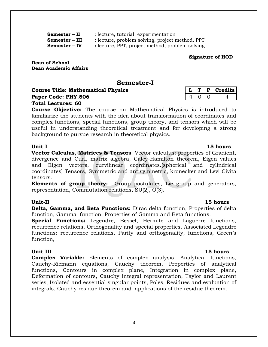**Semester – II** : lecture, tutorial, experimentation **Semester – III** : lecture, problem solving, project method, PPT **Semester – IV** : lecture, PPT, project method, problem solving

**Signature of HOD**

**Dean of School Dean Academic Affairs**

### **Semester-I**

|  | ۱. | ۵S<br>c |
|--|----|---------|
|  |    |         |

**Course Title: Mathematical Physics Paper Code: PHY.506 Total Lectures: 60**

**Course Objective:** The course on Mathematical Physics is introduced to familiarize the students with the idea about transformation of coordinates and complex functions, special functions, group theory, and tensors which will be useful in understanding theoretical treatment and for developing a strong background to pursue research in theoretical physics.

#### **Unit-I 15 hours**

**Vector Calculus, Matrices & Tensors**: Vector calculus: properties of Gradient, divergence and Curl, matrix algebra, Caley-Hamilton theorem, Eigen values and Eigen vectors, curvilinear coordinates.(spherical and cylindrical coordinates) Tensors, Symmetric and antisymmetric, kronecker and Levi Civita tensors.

**Elements of group theory:** Group postulates, Lie group and generators, representation, Commutation relations, SU(2), O(3).

**Unit-II 15 hours Delta, Gamma, and Beta Functions:** Dirac delta function, Properties of delta function, Gamma function, Properties of Gamma and Beta functions.

**Special Functions:** Legendre, Bessel, Hermite and Laguerre functions, recurrence relations, Orthogonality and special properties. Associated Legendre functions: recurrence relations, Parity and orthogonality, functions, Green's function,

#### **Unit-III 15 hours**

**Complex Variable:** Elements of complex analysis, Analytical functions, Cauchy-Riemann equations, Cauchy theorem, Properties of analytical functions, Contours in complex plane, Integration in complex plane, Deformation of contours, Cauchy integral representation, Taylor and Laurent series, Isolated and essential singular points, Poles, Residues and evaluation of integrals, Cauchy residue theorem and applications of the residue theorem.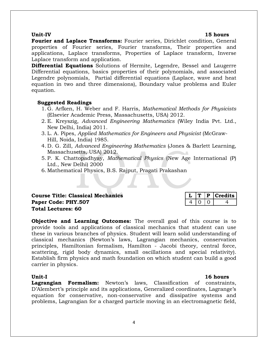#### **Unit-IV 15 hours**

**Fourier and Laplace Transforms:** Fourier series, Dirichlet condition, General properties of Fourier series, Fourier transforms, Their properties and applications, Laplace transforms, Properties of Laplace transform, Inverse Laplace transform and application.

**Differential Equations** Solutions of Hermite, Legendre, Bessel and Laugerre Differential equations, basics properties of their polynomials, and associated Legendre polynomials, Partial differential equations (Laplace, wave and heat equation in two and three dimensions), Boundary value problems and Euler equation.

### **Suggested Readings**

- 1. G. Arfken, H. Weber and F. Harris, *Mathematical Methods for Physicists* (Elsevier Academic Press, Massachusetts, USA) 2012.
- 2. E. Kreyszig, *Advanced Engineering Mathematics* (Wiley India Pvt. Ltd., New Delhi, India) 2011.
- 3. L. A. Pipes, *Applied Mathematics for Engineers and Physicist* (McGraw-Hill, Noida, India) 1985.
- 4. D. G. Zill, *Advanced Engineering Mathematics* (Jones & Barlett Learning, Massachusetts, USA) 2012.
- 5. P. K. Chattopadhyay, *Mathematical Physics* (New Age International (P) Ltd., New Delhi) 2000
- 6. Mathematical Physics, B.S. Rajput, Pragati Prakashan

### **Course Title: Classical Mechanics Paper Code: PHY.507 Total Lectures: 60**

|  |  | τS.<br>≏<br>יו |
|--|--|----------------|
|  |  |                |

**Objective and Learning Outcomes:** The overall goal of this course is to provide tools and applications of classical mechanics that student can use these in various branches of physics. Student will learn solid understanding of classical mechanics (Newton's laws, Lagrangian mechanics, conservation principles, Hamiltonian formalism, Hamilton - Jacobi theory, central force, scattering, rigid body dynamics, small oscillations and special relativity). Establish firm physics and math foundation on which student can build a good carrier in physics.

**Lagrangian Formalism:** Newton's laws, Classification of constraints, D'Alembert's principle and its applications, Generalized coordinates, Lagrange's equation for conservative, non-conservative and dissipative systems and problems, Lagrangian for a charged particle moving in an electromagnetic field,

### **Unit-I 16 hours**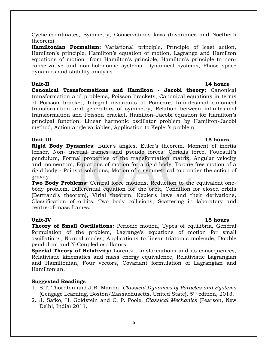Cyclic-coordinates, Symmetry, Conservations laws (Invariance and Noether's theorem).

**Hamiltonian Formalism:** Variational principle, Principle of least action, Hamilton's principle, Hamilton's equation of motion, Lagrange and Hamilton equations of motion from Hamilton's principle, Hamilton's principle to nonconservative and non-holonomic systems, Dynamical systems, Phase space dynamics and stability analysis.

**Canonical Transformations and Hamilton - Jacobi theory:** Canonical transformation and problems, Poisson brackets, Canonical equations in terms of Poisson bracket, Integral invariants of Poincare, Infinitesimal canonical transformation and generators of symmetry, Relation between infinitesimal transformation and Poisson bracket, Hamilton–Jacobi equation for Hamilton's principal function, Linear harmonic oscillator problem by Hamilton-Jacobi method, Action angle variables, Application to Kepler's problem.

### **Unit-III 15 hours**

**Rigid Body Dynamics**: Euler's angles, Euler's theorem, Moment of inertia tensor, Non- inertial frames and pseudo forces: Coriolis force, Foucault's pendulum, Formal properties of the transformation matrix, Angular velocity and momentum, Equations of motion for a rigid body, Torque free motion of a rigid body - Poinsot solutions, Motion of a symmetrical top under the action of gravity.

**Two Body Problems:** Central force motions, Reduction to the equivalent onebody problem, Differential equation for the orbit, Condition for closed orbits (Bertrand's theorem), Virial theorem, Kepler's laws and their derivations, Classification of orbits, Two body collisions, Scattering in laboratory and centre-of-mass frames.

**Theory of Small Oscillations:** Periodic motion, Types of equilibria, General formulation of the problem, Lagrange's equations of motion for small oscillations, Normal modes, Applications to linear triatomic molecule, Double pendulum and N-Coupled oscillators.

**Special Theory of Relativity:** Lorentz transformations and its consequences, Relativistic kinematics and mass energy equivalence, Relativistic Lagrangian and Hamiltonian, Four vectors, Covariant formulation of Lagrangian and Hamiltonian.

### **Suggested Readings**

- 1. S.T. Thornton and J.B. Marion, *Classical Dynamics of Particles and Systems* (Cengage Learning, Boston/Massachusetts, United State), 5th edition, 2013.
- 2. J. Safko, H. Goldstein and C. P. Poole, *Classical Mechanics* (Pearson, New Delhi, India) 2011.

### **Unit-IV 15 hours**

### **Unit-II 14 hours**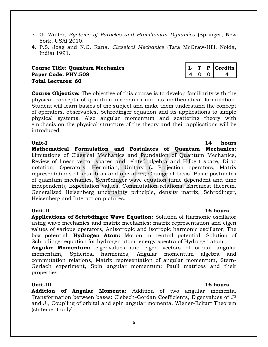- 3. G. Walter, *Systems of Particles and Hamiltonian Dynamics* (Springer, New York, USA) 2010.
- 4. P.S. Joag and N.C. Rana, *Classical Mechanics* (Tata McGraw-Hill, Noida, India) 1991.

### **Course Title: Quantum Mechanics Paper Code: PHY.508 Total Lectures: 60**

**Course Objective:** The objective of this course is to develop familiarity with the physical concepts of quantum mechanics and its mathematical formulation. Student will learn basics of the subject and make them understand the concept of operators, observables, Schrodinger equation and its applications to simple physical systems. Also angular momentum and scattering theory with emphasis on the physical structure of the theory and their applications will be introduced.

#### **Unit-I 14 hours**

**Mathematical Formulation and Postulates of Quantum Mechanics:**  Limitations of Classical Mechanics and foundation of Quantum Mechanics, Review of linear vector spaces and related algebra and Hilbert space, Dirac notation, Operators: Hermitian, Unitary & Projection operators, Matrix representations of kets, bras and operators, Change of basis, Basic postulates of quantum mechanics, Schrödinger wave equation (time dependent and time independent), Expectation values, Commutation relations, Ehrenfest theorem. Generalized Heisenberg uncertainty principle, density matrix, Schrodinger, Heisenberg and Interaction pictures.

### **Unit-II 16 hours**

**Applications of Schrödinger Wave Equation:** Solution of Harmonic oscillator using wave mechanics and matrix mechanics: matrix representation and eigen values of various operators, Anisotropic and isotropic harmonic oscillator, The box potential. **Hydrogen Atom:** Motion in central potential, Solution of Schrodinger equation for hydrogen atom. energy spectra of Hydrogen atom.

**Angular Momentum:** eigenvalues and eigen vectors of orbital angular momentum, Spherical harmonics, Angular momentum algebra and commutation relations, Matrix representation of angular momentum, Stern-Gerlach experiment, Spin angular momentum: Pauli matrices and their properties.

**Addition of Angular Momenta:** Addition of two angular momenta, Transformation between bases: Clebsch-Gordan Coefficients, Eigenvalues of J<sup>2</sup> and Jz, Coupling of orbital and spin angular momenta. Wigner-Eckart Theorem (statement only)

### **Unit-III 16 hours**

|  |  | redits |
|--|--|--------|
|  |  |        |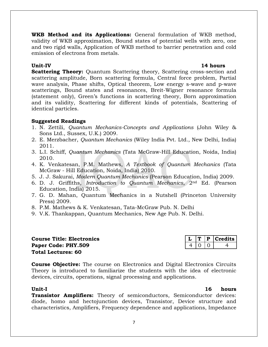**WKB Method and its Applications:** General formulation of WKB method, validity of WKB approximation, Bound states of potential wells with zero, one and two rigid walls, Application of WKB method to barrier penetration and cold emission of electrons from metals.

### **Unit-IV 14 hours**

**Scattering Theory:** Quantum Scattering theory, Scattering cross-section and scattering amplitude, Born scattering formula, Central force problem, Partial wave analysis, Phase shifts, Optical theorem, Low energy s-wave and p-wave scatterings, Bound states and resonances, Breit-Wigner resonance formula (statement only), Green's functions in scattering theory, Born approximation and its validity, Scattering for different kinds of potentials, Scattering of identical particles.

### **Suggested Readings**

- 1. N. Zettili, *Quantum Mechanics-Concepts and Applications* (John Wiley & Sons Ltd., Sussex, U.K.) 2009.
- 2. E. Merzbacher, *Quantum Mechanics* (Wiley India Pvt. Ltd., New Delhi, India) 2011.
- 3. L.I. Schiff, *Quantum Mechanics* (Tata McGraw-Hill Education, Noida, India) 2010.
- 4. K. Venkatesan, P.M. Mathews, *A Textbook of Quantum Mechanics* (Tata McGraw - Hill Education, Noida, India) 2010.
- 5. J. J. Sakurai, *Modern Quantum Mechanics* (Pearson Education, India) 2009.
- 6. D. J. Griffiths, *Introduction to Quantum Mechanics*, 2nd Ed. (Pearson Education, India) 2015.
- 7. G. D. Mahan, Quantum Mechanics in a Nutshell (Princeton University Press) 2009.
- 8. P.M. Mathews & K. Venkatesan, Tata-McGraw Pub. N. Delhi
- 9. V.K. Thankappan, Quantum Mechanics, New Age Pub. N. Delhi.

| <b>Course Title: Electronics</b> |  | $\vert L \vert T \vert P \vert$ Credits |
|----------------------------------|--|-----------------------------------------|
| Paper Code: PHY.509              |  |                                         |
| <b>Total Lectures: 60</b>        |  |                                         |

**Course Objective:** The course on Electronics and Digital Electronics Circuits Theory is introduced to familiarize the students with the idea of electronic devices, circuits, operations, signal processing and applications.

### **Unit-I 16 hours**

**Transistor Amplifiers:** Theory of semiconductors, Semiconductor devices: diode, homo and hectojunction devices, Transistor, Device structure and characteristics, Amplifiers, Frequency dependence and applications, Impedance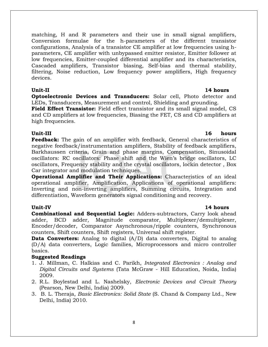matching, H and R parameters and their use in small signal amplifiers, Conversion formulae for the h-parameters of the different transistor configurations, Analysis of a transistor CE amplifier at low frequencies using hparameters, CE amplifier with unbypassed emitter resistor, Emitter follower at low frequencies, Emitter-coupled differential amplifier and its characteristics, Cascaded amplifiers, Transistor biasing, Self-bias and thermal stability, filtering, Noise reduction, Low frequency power amplifiers, High frequency devices.

#### **Unit-II 14 hours**

**Optoelectronic Devices and Transducers:** Solar cell, Photo detector and LEDs, Transducers, Measurement and control, Shielding and grounding.

**Field Effect Transistor:** Field effect transistor and its small signal model, CS and CD amplifiers at low frequencies, Biasing the FET, CS and CD amplifiers at high frequencies.

### **Unit-III 16 hours**

**Feedback:** The gain of an amplifier with feedback, General characteristics of negative feedback/instrumentation amplifiers, Stability of feedback amplifiers, Barkhaussen criteria, Grain and phase margins, Compensation, Sinusoidal oscillators: RC oscillators: Phase shift and the Wien's bridge oscillators, LC oscillators, Frequency stability and the crystal oscillators, lockin detector , Box Car integrator and modulation techniques.

**Operational Amplifier and Their Applications:** Characteristics of an ideal operational amplifier, Amplification, Applications of operational amplifiers: Inverting and non-inverting amplifiers, Summing circuits, Integration and differentiation, Waveform generators signal conditioning and recovery.

### **Unit-IV 14 hours**

**Combinational and Sequential Logic:** Adders-subtractors, Carry look ahead adder, BCD adder, Magnitude comparator, Multiplexer/demultiplexer, Encoder/decoder, Comparator Asynchronous/ripple counters, Synchronous counters, Shift counters, Shift registers, Universal shift register.

**Data Converters:** Analog to digital (A/D) data converters, Digital to analog (D/A) data converters, Logic families, Microprocessors and micro controller basics.

### **Suggested Readings**

- 1. J. Millman, C. Halkias and C. Parikh, *Integrated Electronics : Analog and Digital Circuits and Systems* (Tata McGraw - Hill Education, Noida, India) 2009.
- 2. R.L. Boylestad and L. Nashelsky, *Electronic Devices and Circuit Theory* (Pearson, New Delhi, India) 2009.
- 3[. B. L. Theraja,](http://books.google.com/books/about/Basic_Electronics.html?id=GyZyhuY4SngC) *Basic Electronics: Solid State* (S. Chand & Company Ltd., New Delhi, India) 2010.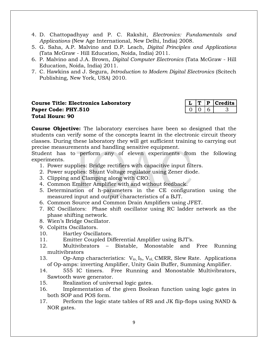- 4. D. Chattopadhyay and P. C*.* Rakshit, *[Electronics: Fundamentals and](http://www.flipkart.com/electronics-fundamentals-applications-11th/p/itmdythgaggxzhrd)  [Applications](http://www.flipkart.com/electronics-fundamentals-applications-11th/p/itmdythgaggxzhrd)* (New Age International, New Delhi, India) 2008.
- 5. G. Saha, A.P. Malvino and D.P. Leach, *Digital Principles and Applications*  (Tata McGraw - Hill Education, Noida, India) 2011.
- 6. P. Malvino and J.A. Brown, *Digital Computer Electronics* (Tata McGraw Hill Education, Noida, India) 2011.
- 7. C. Hawkins and J. Segura, *Introduction to Modern Digital Electronics* (Scitech Publishing, New York, USA) 2010.

### **Course Title: Electronics Laboratory Paper Code: PHY.510 Total Hours: 90**

|  | τs |
|--|----|
|  |    |

**Course Objective:** The laboratory exercises have been so designed that the students can verify some of the concepts learnt in the electronic circuit theory classes. During these laboratory they will get sufficient training to carrying out precise measurements and handling sensitive equipment.

Student has to perform any of eleven experiments from the following experiments.

- 1. Power supplies: Bridge rectifiers with capacitive input filters.
- 2. Power supplies: Shunt Voltage regulator using Zener diode.
- 3. Clipping and Clamping along with CRO.
- 4. Common Emitter Amplifier with and without feedback.
- 5. Determination of h-parameters in the CE configuration using the measured input and output characteristics of a BJT.
- 6. Common Source and Common Drain Amplifiers using JFET.
- 7. RC Oscillators: Phase shift oscillator using RC ladder network as the phase shifting network.
- 8. Wien's Bridge Oscillator.
- 9. Colpitts Oscillators.
- 10. Hartley Oscillators.
- 11. Emitter Coupled Differential Amplifier using BJT's.
- 12. Multivibrators Bistable, Monostable and Free Running multivibrators
- 13. Op-Amp characteristics:  $V_{io}$ ,  $I_b$ ,  $V_{ol}$ , CMRR, Slew Rate. Applications of Op-amps: inverting Amplifier, Unity Gain Buffer, Summing Amplifier.
- 14. 555 IC timers. Free Running and Monostable Multivibrators, Sawtooth wave generator.
- 15. Realization of universal logic gates.
- 16. Implementation of the given Boolean function using logic gates in both SOP and POS form.
- 17. Perform the logic state tables of RS and JK flip-flops using NAND & NOR gates.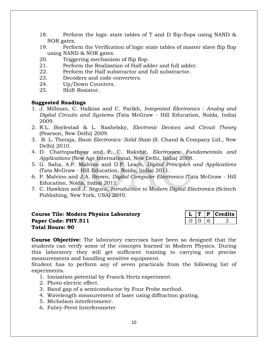- 18. Perform the logic state tables of T and D flip-flops using NAND  $\&$ NOR gates.
- 19. Perform the Verification of logic state tables of master slave flip flop using NAND & NOR gates.
- 20. Triggering mechanism of flip flop.
- 21. Perform the Realization of Half adder and full adder.
- 22. Perform the Half substractor and full substractor.
- 23. Decoders and code converters.
- 24. Up/Down Counters.
- 25. Shift Resistor.

#### **Suggested Readings**

- 1. J. Millman, C. Halkias and C. Parikh, *Integrated Electronics : Analog and Digital Circuits and Systems* (Tata McGraw - Hill Education, Noida, India) 2009.
- 2. R.L. Boylestad & L. Nashelsky, *Electronic Devices and Circuit Theory* (Pearson, New Delhi) 2009.
- 3. B. L. Theraja, *Basic Electronics: Solid State* (S. Chand & Company Ltd., New Delhi) 2010.
- 4. D. Chattopadhyay and P. C*.* Rakshit, *Electronics: Fundamentals and Applications* (New Age International, New Delhi, India) 2008.
- 5. G. Saha, A.P. Malvino and D.P. Leach, *Digital Principles and Applications*  (Tata McGraw - Hill Education, Noida, India) 2011.
- 6. P. Malvino and J.A. Brown, *Digital Computer Electronics* (Tata McGraw Hill Education, Noida, India) 2011.
- 7. C. Hawkins and J. Segura, *Introduction to Modern Digital Electronics* (Scitech Publishing, New York, USA) 2010.

### **Course Tile: Modern Physics Laboratory Paper Code: PHY.511 Total Hours: 90**

|  | LTS. |
|--|------|
|  |      |

**Course Objective:** The laboratory exercises have been so designed that the students can verify some of the concepts learned in Modern Physics. During this laboratory they will get sufficient training to carrying out precise measurements and handling sensitive equipment.

Student has to perform any of seven practicals from the following list of experiments.

- 1. Ionization potential by Franck Hertz experiment.
- 2. Photo electric effect.
- 3. Band gap of a semiconductor by Four Probe method.
- 4. Wavelength measurement of laser using diffraction grating.
- 5. Michelson interferometer.
- 6. Fabry-Perot Interferometer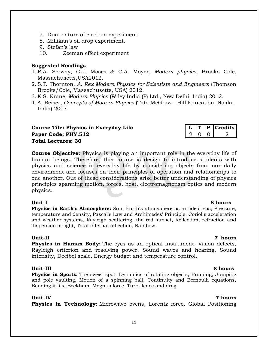- 7. Dual nature of electron experiment.
- 8. Millikan's oil drop experiment.
- 9. Stefan's law
- 10. Zeeman effect experiment

#### **Suggested Readings**

- 1. R.A. Serway, C.J. Moses & C.A. Moyer, *Modern physics,* Brooks Cole, Massachusetts,USA2012.
- 2. S.T. Thornton, *A. Rex Modern Physics for Scientists and Engineers* (Thomson Brooks/Cole, Massachusetts, USA) 2012.
- 3. K.S. Krane, *Modern Physics* (Wiley India (P) Ltd., New Delhi, India) 2012.
- 4. A. Beiser, *Concepts of Modern Physics* (Tata McGraw Hill Education, Noida, India) 2007.

### **Course Tile: Physics in Everyday Life**  $\vert L \vert T \vert P \vert$  **Credits Paper Code: PHY.512** 2 0 0 2 **Total Lectures: 30**

| <b>Course Objective:</b> Physics is playing an important role in the everyday life of |
|---------------------------------------------------------------------------------------|
| human beings. Therefore, this course is design to introduce students with             |
| physics and science in everyday life by considering objects from our daily            |
| environment and focuses on their principles of operation and relationships to         |
| one another. Out of these considerations arise better understanding of physics        |
| principles spanning motion, forces, heat, electromagnetism optics and modern          |
| physics.                                                                              |

**Physics in Earth's Atmosphere:** Sun, Earth's atmosphere as an ideal gas; Pressure, temperature and density, Pascal's Law and Archimedes' Principle, Coriolis acceleration and weather systems, Rayleigh scattering, the red sunset, Reflection, refraction and dispersion of light, Total internal reflection, Rainbow.

### **Unit-II 7 hours**

**Physics in Human Body:** The eyes as an optical instrument, Vision defects, Rayleigh criterion and resolving power, Sound waves and hearing, Sound intensity, Decibel scale, Energy budget and temperature control.

### **Unit-III 8 hours**

**Physics in Sports:** The sweet spot, Dynamics of rotating objects, Running, Jumping and pole vaulting, Motion of a spinning ball, Continuity and Bernoulli equations, Bending it like Beckham, Magnus force, Turbulence and drag.

**Physics in Technology:** Microwave ovens, Lorentz force, Global Positioning

### **Unit-I 8 hours**

### **Unit-IV 7 hours**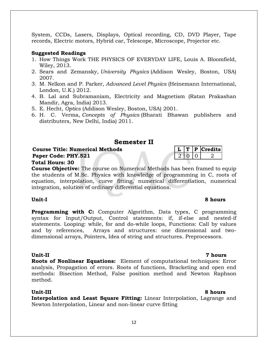System, CCDs, Lasers, Displays, Optical recording, CD, DVD Player, Tape records, Electric motors, Hybrid car, Telescope, Microscope, Projector etc.

#### **Suggested Readings**

- 1. How Things Work THE PHYSICS OF EVERYDAY LIFE, Louis A. Bloomfield, Wiley, 2013.
- 2. Sears and Zemansky, *University Physics* (Addison Wesley, Boston, USA) 2007.
- 3. M. Nelkon and P. Parker, *Advanced Level Physics* (Heinemann International, London, U.K.) 2012.
- 4. B. Lal and Subramaniam, Electricity and Magnetism (Ratan Prakashan Mandir, Agra, India) 2013.
- 5. E. Hecht, *Optics* (Addison Wesley, Boston, USA) 2001.
- 6. H. C. Verma, *Concepts of Physics* (Bharati Bhawan publishers and distributers, New Delhi, India) 2011.

### **Semester II**

**Course Title: Numerical Methods**  $\begin{array}{c|c} \downarrow \downarrow \downarrow \uparrow \downarrow \uparrow \downarrow \uparrow \downarrow \uparrow \downarrow \uparrow \downarrow \uparrow \downarrow \uparrow \downarrow \uparrow \downarrow \uparrow \downarrow \uparrow \downarrow \uparrow \downarrow \uparrow \downarrow \uparrow \downarrow \uparrow \downarrow \uparrow \downarrow \uparrow \downarrow \uparrow \downarrow \uparrow \downarrow \uparrow \downarrow \uparrow \downarrow \uparrow \downarrow \uparrow \downarrow \uparrow \downarrow \uparrow \downarrow \uparrow \downarrow \uparrow \downarrow \uparrow \downarrow \uparrow \downarrow \$ **Paper Code: PHY.521** 2 0 0 2 **Total Hours: 30**

**Course Objective:** The course on Numerical Methods has been framed to equip the students of M.Sc. Physics with knowledge of programming in C, roots of equation, interpolation, curve fitting, numerical differentiation, numerical integration, solution of ordinary differential equations.

**Programming with C:** Computer Algorithm, Data types, C programming syntax for Input/Output, Control statements: if, if-else and nested-if statements. Looping: while, for and do-while loops, Functions: Call by values and by references, Arrays and structures: one dimensional and twodimensional arrays, Pointers, Idea of string and structures. Preprocessors.

### **Unit-II 7 hours**

**Roots of Nonlinear Equations:** Element of computational techniques: Error analysis, Propagation of errors. Roots of functions, Bracketing and open end methods: Bisection Method, False position method and Newton Raphson method.

#### **Unit-III 8 hours**

**Interpolation and Least Square Fitting:** Linear Interpolation, Lagrange and Newton Interpolation, Linear and non-linear curve fitting

#### **Unit-I 8 hours**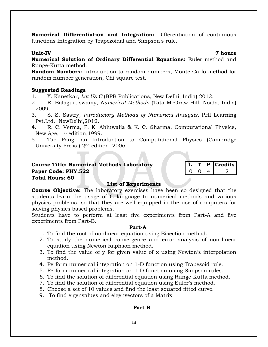**Numerical Differentiation and Integration:** Differentiation of continuous functions Integration by Trapezoidal and Simpson's rule.

#### **Unit-IV 7 hours**

**Numerical Solution of Ordinary Differential Equations:** Euler method and Runge-Kutta method.

**Random Numbers:** Introduction to random numbers, Monte Carlo method for random number generation, Chi square test.

### **Suggested Readings**

- 1. Y. Kanetkar, *Let Us C* (BPB Publications, New Delhi, India) 2012.
- 2. E. Balaguruswamy, *Numerical Methods* (Tata McGraw Hill, Noida, India) 2009.
- 3. S. S. Sastry, *Introductory Methods of Numerical Analysis,* PHI Learning Pvt.Ltd., NewDelhi,2012.
- 4. R. C. Verma, P. K. Ahluwalia & K. C. Sharma, Computational Physics, New Age, 1st edition,1999.
- 5. Tao Pang, an Introduction to Computational Physics (Cambridge University Press ) 2nd edition, 2006.

### **Course Title: Numerical Methods Laboratory Paper Code: PHY.522 Total Hours: 60**

|  | TS.<br>47<br>÷.<br>г |
|--|----------------------|
|  |                      |

### **List of Experiments**

**Course Objective:** The laboratory exercises have been so designed that the students learn the usage of C language to numerical methods and various physics problems, so that they are well equipped in the use of computers for solving physics based problems.

Students have to perform at least five experiments from Part-A and five experiments from Part-B.

### **Part-A**

- 1. To find the root of nonlinear equation using Bisection method.
- 2. To study the numerical convergence and error analysis of non-linear equation using Newton Raphson method.
- 3. To find the value of y for given value of x using Newton's interpolation method.
- 4. Perform numerical integration on 1-D function using Trapezoid rule.
- 5. Perform numerical integration on 1-D function using Simpson rules.
- 6. To find the solution of differential equation using Runge-Kutta method.
- 7. To find the solution of differential equation using Euler's method.
- 8. Choose a set of 10 values and find the least squared fitted curve.
- 9. To find eigenvalues and eigenvectors of a Matrix.

### **Part-B**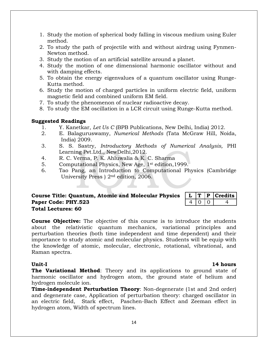- 1. Study the motion of spherical body falling in viscous medium using Euler method.
- 2. To study the path of projectile with and without airdrag using Fynmen-Newton method.
- 3. Study the motion of an artificial satellite around a planet.
- 4. Study the motion of one dimensional harmonic oscillator without and with damping effects.
- 5. To obtain the energy eigenvalues of a quantum oscillator using Runge-Kutta method.
- 6. Study the motion of charged particles in uniform electric field, uniform magnetic field and combined uniform EM field.
- 7. To study the phenomenon of nuclear radioactive decay.
- 8. To study the EM oscillation in a LCR circuit using Runge-Kutta method.

#### **Suggested Readings**

- 1. Y. Kanetkar, *Let Us C* (BPB Publications, New Delhi, India) 2012.
- 2. E. Balaguruswamy, *Numerical Methods* (Tata McGraw Hill, Noida, India) 2009.
- 3. S. S. Sastry, *Introductory Methods of Numerical Analysis,* PHI Learning Pvt.Ltd., NewDelhi,2012.
- 4. R. C. Verma, P. K. Ahluwalia & K. C. Sharma
- 5. Computational Physics, New Age, 1st edition,1999.
- 6. Tao Pang, an Introduction to Computational Physics (Cambridge University Press ) 2nd edition, 2006.

| Course Title: Quantum, Atomic and Molecular Physics $ L T P C$ redits |     |  |  |
|-----------------------------------------------------------------------|-----|--|--|
| Paper Code: PHY.523                                                   | 400 |  |  |
| <b>Total Lectures: 60</b>                                             |     |  |  |

**Course Objective:** The objective of this course is to introduce the students about the relativistic quantum mechanics, variational principles and perturbation theories (both time independent and time dependent) and their importance to study atomic and molecular physics. Students will be equip with the knowledge of atomic, molecular, electronic, rotational, vibrational, and Raman spectra.

**The Variational Method**: Theory and its applications to ground state of harmonic oscillator and hydrogen atom, the ground state of helium and hydrogen molecule ion.

**Time-independent Perturbation Theory**: Non-degenerate (1st and 2nd order) and degenerate case, Application of perturbation theory: charged oscillator in an electric field, Stark effect, Paschen-Bach Effect and Zeeman effect in hydrogen atom, Width of spectrum lines.

#### **Unit-I 14 hours**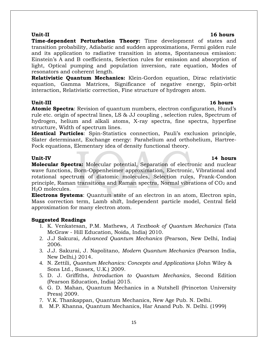**Time-dependent Perturbation Theory:** Time development of states and transition probability, Adiabatic and sudden approximations, Fermi golden rule and its application to radiative transition in atoms, Spontaneous emission: Einstein's A and B coefficients, Selection rules for emission and absorption of light, Optical pumping and population inversion, rate equation, Modes of resonators and coherent length.

**Relativistic Quantum Mechanics:** Klein-Gordon equation, Dirac relativistic equation, Gamma Matrices, Significance of negative energy, Spin-orbit interaction, Relativistic correction, Fine structure of hydrogen atom.

#### **Unit-III 16 hours**

**Atomic Spectra**: Revision of quantum numbers, electron configuration, Hund's rule etc. origin of spectral lines, LS & JJ coupling , selection rules, Spectrum of hydrogen, helium and alkali atoms, X-ray spectra, fine spectra, hyperfine structure, Width of spectrum lines.

**Identical Particles**: Spin-Statistics connection, Pauli's exclusion principle, Slater determinant, Exchange energy: Parahelium and orthohelium, Hartree-Fock equations, Elementary idea of density functional theory.

#### **Unit-IV 14 hours**

**Molecular Spectra:** Molecular potential, Separation of electronic and nuclear wave functions, Born-Oppenheimer approximation, Electronic, Vibrational and rotational spectrum of diatomic molecules, Selection rules, Frank-Condon principle, Raman transitions and Raman spectra, Normal vibrations of  $CO<sub>2</sub>$  and H2O molecules.

**Electrons Systems**: Quantum state of an electron in an atom, Electron spin, Mass correction term, Lamb shift, Independent particle model, Central field approximation for many electron atom.

#### **Suggested Readings**

- 1. K. Venkatesan, P.M. Mathews, *A Textbook of Quantum Mechanics* (Tata McGraw - Hill Education, Noida, India) 2010.
- 2. J.J Sakurai, *Advanced Quantum Mechanics* (Pearson, New Delhi, India) 2006.
- 3. J.J. Sakurai, J. Napolitano, *Modern Quantum Mechanics* (Pearson India, New Delhi,) 2014.
- 4. N. Zettili, *Quantum Mechanics: Concepts and Applications* (John Wiley & Sons Ltd., Sussex, U.K.) 2009.
- 5. D. J. Griffiths, *Introduction to Quantum Mechanics*, Second Edition (Pearson Education, India) 2015.
- 6. G. D. Mahan, Quantum Mechanics in a Nutshell (Princeton University Press) 2009.
- 7. V.K. Thankappan, Quantum Mechanics, New Age Pub. N. Delhi.
- 8. M.P. Khanna, Quantum Mechanics, Har Anand Pub. N. Delhi. (1999)

#### **Unit-II 16 hours**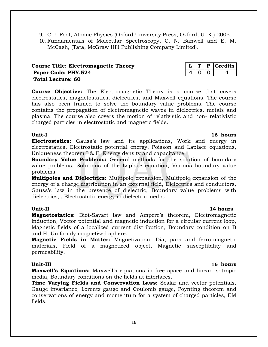10. Fundamentals of Molecular Spectroscopy, C. N. Banwell and E. M. McCash, (Tata, McGraw Hill Publishing Company Limited).

### **Course Title: Electromagnetic Theory**  $\mathbf{L} \mathbf{r}$  **|**  $\mathbf{L} \mathbf{r}$  **|**  $\mathbf{P} \mathbf{r}$  **| Credits Paper Code: PHY.524** 4 0 0 4 **Total Lecture: 60**

**Course Objective:** The Electromagnetic Theory is a course that covers electrostatics, magnetostatics, dielectrics, and Maxwell equations. The course has also been framed to solve the boundary value problems. The course contains the propagation of electromagnetic waves in dielectrics, metals and plasma. The course also covers the motion of relativistic and non- relativistic charged particles in electrostatic and magnetic fields.

### **Unit-I 16 hours**

**Electrostatics:** Gauss's law and its applications, Work and energy in electrostatics, Electrostatic potential energy, Poisson and Laplace equations, Uniqueness theorem I & II, Energy density and capacitance.

**Boundary Value Problems:** General methods for the solution of boundary value problems, Solutions of the Laplace equation, Various boundary value problems.

**Multipoles and Dielectrics:** Multipole expansion, Multipole expansion of the energy of a charge distribution in an external field, Dielectrics and conductors, Gauss's law in the presence of dielectric, Boundary value problems with dielectrics, , Electrostatic energy in dielectric media.

**Unit-II 14 hours Magnetostatics:** Biot-Savart law and Ampere's theorem, Electromagnetic induction, Vector potential and magnetic induction for a circular current loop, Magnetic fields of a localized current distribution, Boundary condition on B and H, Uniformly magnetized sphere.

**Magnetic Fields in Matter:** Magnetization, Dia, para and ferro-magnetic materials, Field of a magnetized object, Magnetic susceptibility and permeability.

**Maxwell's Equations:** Maxwell's equations in free space and linear isotropic media, Boundary conditions on the fields at interfaces.

**Time Varying Fields and Conservation Laws:** Scalar and vector potentials, Gauge invariance, Lorentz gauge and Coulomb gauge, Poynting theorem and conservations of energy and momentum for a system of charged particles, EM fields.

#### 16

### **Unit-III 16 hours**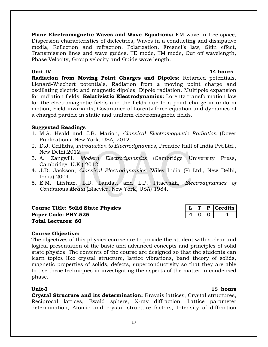**Plane Electromagnetic Waves and Wave Equations:** EM wave in free space, Dispersion characteristics of dielectrics, Waves in a conducting and dissipative media, Reflection and refraction, Polarization, Fresnel's law, Skin effect, Transmission lines and wave guides, TE mode, TM mode, Cut off wavelength, Phase Velocity, Group velocity and Guide wave length.

### **Unit-IV 14 hours**

**Radiation from Moving Point Charges and Dipoles:** Retarded potentials, Lienard-Wiechert potentials, Radiation from a moving point charge and oscillating electric and magnetic dipoles, Dipole radiation, Multipole expansion for radiation fields. **Relativistic Electrodynamics:** Lorentz transformation law for the electromagnetic fields and the fields due to a point charge in uniform motion, Field invariants, Covariance of Lorentz force equation and dynamics of a charged particle in static and uniform electromagnetic fields.

### **Suggested Readings**

- 1. M.A. Heald and J.B. Marion, *Classical Electromagnetic Radiation* (Dover Publications, New York, USA) 2012.
- 2. D.J. Griffiths, *Introduction to Electrodynamics*, Prentice Hall of India Pvt.Ltd., New Delhi,2012.
- 3. A. Zangwill, *Modern Electrodynamics* (Cambridge University Press, Cambridge, U.K.) 2012.
- 4. J.D. Jackson, *Classical Electrodynamics* (Wiley India (P) Ltd., New Delhi, India) 2004.
- 5. E.M. Lifshitz, L.D. Landau and L.P. Pitaevskii, *Electrodynamics of Continuous Media* (Elsevier, New York, USA) 1984.

| <b>Course Title: Solid State Physics</b> |       |  | $\vert L \vert T \vert P \vert$ Credits |
|------------------------------------------|-------|--|-----------------------------------------|
| Paper Code: PHY.525                      | 4 0 0 |  |                                         |
| <b>Total Lectures: 60</b>                |       |  |                                         |

### **Course Objective:**

The objectives of this physics course are to provide the student with a clear and logical presentation of the basic and advanced concepts and principles of solid state physics. The contents of the course are designed so that the students can learn topics like crystal structure, lattice vibrations, band theory of solids, magnetic properties of solids, defects, superconductivity so that they are able to use these techniques in investigating the aspects of the matter in condensed phase.

**Unit-I 15 hours Crystal Structure and its determination:** Bravais lattices, Crystal structures, Reciprocal lattices, Ewald sphere, X-ray diffraction, Lattice parameter determination, Atomic and crystal structure factors, Intensity of diffraction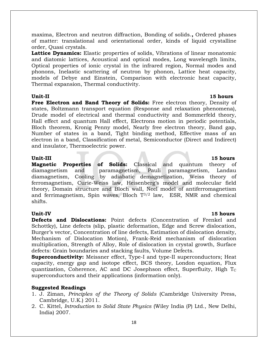maxima, Electron and neutron diffraction, Bonding of solids.**,** Ordered phases of matter: translational and orientational order, kinds of liquid crystalline order, Quasi crystals.

**Lattice Dynamics:** Elastic properties of solids, Vibrations of linear monatomic and diatomic lattices, Acoustical and optical modes, Long wavelength limits, Optical properties of ionic crystal in the infrared region, Normal modes and phonons, Inelastic scattering of neutron by phonon, Lattice heat capacity, models of Debye and Einstein, Comparison with electronic heat capacity, Thermal expansion, Thermal conductivity.

**Free Electron and Band Theory of Solids:** Free electron theory, Density of states, Boltzmann transport equation (Response and relaxation phenomena), Drude model of electrical and thermal conductivity and Sommerfeld theory, Hall effect and quantum Hall effect, Electrons motion in periodic potentials, Bloch theorem, Kronig Penny model, Nearly free electron theory, Band gap, Number of states in a band, Tight binding method, Effective mass of an electron in a band, Classification of metal, Semiconductor (Direct and Indirect) and insulator, Thermoelectric power.

**Magnetic Properties of Solids:** Classical and quantum theory of diamagnetism and paramagnetism, Pauli paramagnetism, Landau diamagnetism, Cooling by adiabatic demagnetization, Weiss theory of ferromagnetism, Curie-Weiss law, Heisenberg's model and molecular field theory, Domain structure and Bloch wall, Neel model of antiferromagnetism and ferrimagnetism, Spin waves, Bloch T3/2 law, ESR, NMR and chemical shifts.

**Defects and Dislocations:** Point defects (Concentration of Frenkel and Schottky), Line defects (slip, plastic deformation, Edge and Screw dislocation, Burger's vector, Concentration of line defects, Estimation of dislocation density, Mechanism of Dislocation Motion), Frank-Reid mechanism of dislocation multiplication, Strength of Alloy, Role of dislocation in crystal growth, Surface defects: Grain boundaries and stacking faults, Volume Defects.

**Superconductivity:** Meissner effect, Type-I and type-II superconductors; Heat capacity, energy gap and isotope effect, BCS theory, London equation, Flux quantization, Coherence, AC and DC Josephson effect, Superfluity, High  $T_c$ superconductors and their applications (information only).

### **Suggested Readings**

- 1. J. Ziman, *Principles of the Theory of Solids* (Cambridge University Press, Cambridge, U.K.) 2011.
- 2. C. Kittel, *Introduction to Solid State Physics* (Wiley India (P) Ltd., New Delhi, India) 2007.

## 18

### **Unit-II 15 hours**

### **Unit-III 15 hours**

### **Unit-IV 15 hours**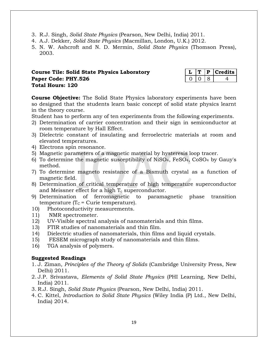- 3. R.J. Singh, *Solid State Physics* (Pearson, New Delhi, India) 2011.
- 4. A.J. Dekker, *Solid State Physics* (Macmillan, London, U.K.) 2012.
- 5. N. W. Ashcroft and N. D. Mermin, *Solid State Physics* (Thomson Press), 2003.

### **Course Tile: Solid State Physics Laboratory Paper Code: PHY.526 Total Hours: 120**

|  | U | ĊS.<br>l<br>- 1 |
|--|---|-----------------|
|  |   |                 |

**Course Objective:** The Solid State Physics laboratory experiments have been so designed that the students learn basic concept of solid state physics learnt in the theory course.

Student has to perform any of ten experiments from the following experiments.

- 2) Determination of carrier concentration and their sign in semiconductor at room temperature by Hall Effect.
- 3) Dielectric constant of insulating and ferroelectric materials at room and elevated temperatures.
- 4) Electrons spin resonance.
- 5) Magnetic parameters of a magnetic material by hysteresis loop tracer.
- 6) To determine the magnetic susceptibility of NiSO4, FeSO4, CoSO<sup>4</sup> by Gauy's method.
- 7) To determine magneto resistance of a Bismuth crystal as a function of magnetic field.
- 8) Determination of critical temperature of high temperature superconductor and Meissner effect for a high  $T_c$  superconductor.
- 9) Determination of ferromagnetic to paramagnetic phase transition temperature  $(T<sub>C</sub> = Curie temperature)$ .
- 10) Photoconductivity measurements.
- 11) NMR spectrometer.
- 12) UV-Visible spectral analysis of nanomaterials and thin films.
- 13) FTIR studies of nanomaterials and thin film.
- 14) Dielectric studies of nanomaterials, thin films and liquid crystals.
- 15) FESEM micrograph study of nanomaterials and thin films.
- 16) TGA analysis of polymers.

### **Suggested Readings**

- 1. J. Ziman, *Principles of the Theory of Solids* (Cambridge University Press, New Delhi) 2011.
- 2. J.P. Srivastava, *Elements of Solid State Physics* (PHI Learning, New Delhi, India) 2011.
- 3. R.J. Singh, *Solid State Physics* (Pearson, New Delhi, India) 2011.
- 4. C. Kittel, *Introduction to Solid State Physics* (Wiley India (P) Ltd., New Delhi, India) 2014.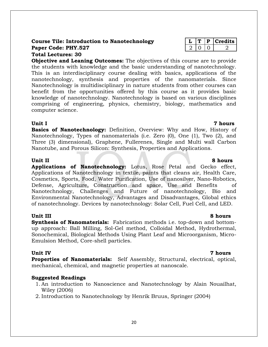## 20

## Nanotube, and Porous Silicon: Synthesis, Properties and Applications. **Unit II** 8 hours **8 hours**

**Course Tile: Introduction to Nanotechnology** 

**Paper Code: PHY.527 Total Lectures: 30**

computer science.

**Applications of Nanotechnology:** Lotus, Rose Petal and Gecko effect, Applications of Nanotechnology in textile, paints that cleans air, Health Care, Cosmetics, Sports, Food, Water Purification, Use of nanosilver, Nano-Robotics, Defense, Agriculture, Construction and space, Use and Benefits of Nanotechnology, Challenges and Future of nanotechnology, Bio and Environmental Nanotechnology, Advantages and Disadvantages, Global ethics of nanotechnology. Devices by nanotechnology: Solar Cell, Fuel Cell, and LED.

Three (3) dimensional), Graphene, Fullerenes, Single and Multi wall Carbon

**Objective and Leaning Outcomes:** The objectives of this course are to provide the students with knowledge and the basic understanding of nanotechnology. This is an interdisciplinary course dealing with basics, applications of the nanotechnology, synthesis and properties of the nanomaterials. Since Nanotechnology is multidisciplinary in nature students from other courses can benefit from the opportunities offered by this course as it provides basic knowledge of nanotechnology. Nanotechnology is based on various disciplines comprising of engineering, physics, chemistry, biology, mathematics and

**Unit III** 8 hours **Synthesis of Nanomaterials:** Fabrication methods i.e. top-down and bottomup approach: Ball Milling, Sol-Gel method, Colloidal Method, Hydrothermal, Sonochemical, Biological Methods Using Plant Leaf and Microorganism, Micro-Emulsion Method, Core-shell particles.

**Unit IV 7 hours Properties of Nanomaterials:** Self Assembly, Structural, electrical, optical, mechanical, chemical, and magnetic properties at nanoscale.

### **Suggested Readings**

- 1. An introduction to Nanoscience and Nanotechnology by Alain Nouailhat, Wiley (2006)
- 2. Introduction to Nanotechnology by Henrik Bruus, Springer (2004)

#### **Unit I 7 hours Basics of Nanotechnology:** Definition, Overview: Why and How, History of

## Nanotechnology, Types of nanomaterials (i.e. Zero (0), One (1), Two (2), and

|  | lits<br>e,<br>п |
|--|-----------------|
|  |                 |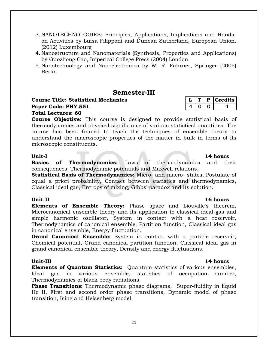- 3. NANOTECHNOLOGIES: Principles, Applications, Implications and Handson Activities by Luisa Filipponi and Duncan Sutherland, European Union, (2012) Luxembourg
- 4. Nanostructure and Nanomaterials (Synthesis, Properties and Applications) by Guozhong Cao, Imperical College Press (2004) London.
- 5. Nanotechnology and Nanoelectronics by W. R. Fahrner, Springer (2005) Berlin

### **Semester-III**

#### **Course Title: Statistical Mechanics L T P Credits Paper Code: PHY.551**  $\vert 4 \vert 0 \vert 0 \vert 4$ **Total Lectures: 60**

**Course Objective:** This course is designed to provide statistical basis of thermodynamics and physical significance of various statistical quantities. The course has been framed to teach the techniques of ensemble theory to understand the macroscopic properties of the matter in bulk in terms of its microscopic constituents.

**Basics of Thermodynamics:** Laws of thermodynamics and their consequences, Thermodynamic potentials and Maxwell relations.

**Statistical Basis of Thermodynamics:** Micro- and macro- states, Postulate of equal a priori probability, Contact between statistics and thermodynamics, Classical ideal gas, Entropy of mixing, Gibbs' paradox and its solution.

**Elements of Ensemble Theory:** Phase space and Liouville's theorem, Microcanonical ensemble theory and its application to classical ideal gas and simple harmonic oscillator, System in contact with a heat reservoir, Thermodynamics of canonical ensemble, Partition function, Classical ideal gas in canonical ensemble, Energy fluctuation.

**Grand Canonical Ensemble:** System in contact with a particle reservoir, Chemical potential, Grand canonical partition function, Classical ideal gas in grand canonical ensemble theory, Density and energy fluctuations.

**Elements of Quantum Statistics:** Quantum statistics of various ensembles, Ideal gas in various ensemble, statistics of occupation number, Thermodynamics of black body radiations.

**Phase Transitions:** Thermodynamic phase diagrams, Super-fluidity in liquid He II, First and second order phase transitions, Dynamic model of phase transition, Ising and Heisenberg model.

#### **Unit-II** 16 hours

#### 21

### **Unit-III 14 hours**

| Unit-I |  |  |  |  | 14 hours |
|--------|--|--|--|--|----------|
|--------|--|--|--|--|----------|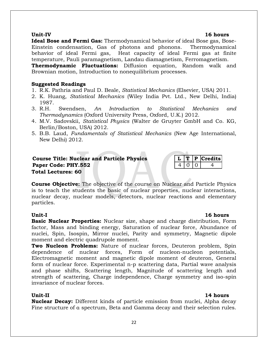#### **Unit-IV 16 hours**

**Ideal Bose and Fermi Gas:** Thermodynamical behavior of ideal Bose gas, Bose-Einstein condensation, Gas of photons and phonons. Thermodynamical behavior of ideal Fermi gas, Heat capacity of ideal Fermi gas at finite temperature, Pauli paramagnetism, Landau diamagnetism, Ferromagnetism.

**Thermodynamic Fluctuations:** Diffusion equation, Random walk and Brownian motion, Introduction to nonequilibrium processes.

### **Suggested Readings**

- 1. R.K. Pathria and Paul D. Beale, *Statistical Mechanics* (Elsevier, USA) 2011.
- 2. K. Huang, *Statistical Mechanics* (Wiley India Pvt. Ltd., New Delhi, India) 1987.
- 3. R.H. Swendsen, *An Introduction to Statistical Mechanics and Thermodynamics* (Oxford University Press, Oxford, U.K.) 2012.
- 4. M.V. Sadovskii, *Statistical Physics* (Walter de Gruyter GmbH and Co. KG, Berlin/Boston, USA) 2012.
- 5. B.B. Laud, *Fundamentals of Statistical Mechanics* (New Age International, New Delhi) 2012.

### **Course Title: Nuclear and Particle Physics**  $\blacksquare$  **<b>L T P** Credits **Paper Code: PHY.552** 4 0 0 4 **Total Lectures: 60**

**Course Objective:** The objective of the course on Nuclear and Particle Physics is to teach the students the basic of nuclear properties, nuclear interactions, nuclear decay, nuclear models, detectors, nuclear reactions and elementary particles.

**Basic Nuclear Properties:** Nuclear size, shape and charge distribution, Form factor, Mass and binding energy, Saturation of nuclear force, Abundance of nuclei, Spin, Isospin, Mirror nuclei, Parity and symmetry, Magnetic dipole moment and electric quadrupole moment.

**Two Nucleon Problems:** Nature of nuclear forces, Deuteron problem, Spin dependence of nuclear forces, Form of nucleon-nucleon potentials, Electromagnetic moment and magnetic dipole moment of deuteron, General form of nuclear force. Experimental n-p scattering data, Partial wave analysis and phase shifts, Scattering length, Magnitude of scattering length and strength of scattering, Charge independence, Charge symmetry and iso-spin invariance of nuclear forces.

### **Unit-II 14 hours**

**Nuclear Decay:** Different kinds of particle emission from nuclei, Alpha decay Fine structure of α spectrum, Beta and Gamma decay and their selection rules.

#### **Unit-I 16 hours**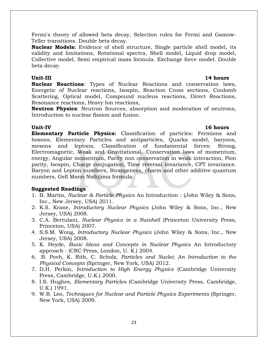23

Fermi's theory of allowed beta decay, Selection rules for Fermi and Gamow-Teller transitions. Double beta decay.

**Nuclear Models:** Evidence of shell structure, Single particle shell model, its validity and limitations, Rotational spectra, Shell model, Liquid drop model, Collective model, Semi empirical mass formula. Exchange force model. Double beta decay.

**Nuclear Reactions**: Types of Nuclear Reactions and conservation laws, Energetic of Nuclear reactions, Isospin, Reaction Cross sections, Coulomb Scattering, Optical model, Compound nucleus reactions, Direct Reactions, Resonance reactions, Heavy Ion reactions,

**Neutron Physics**: Neutron Sources, absorption and moderation of neutrons, Introduction to nuclear fission and fusion.

#### **Unit-IV 16 hours**

**Elementary Particle Physics:** Classification of particles: Fermions and bosons, Elementary Particles and antiparticles, Quarks model, baryons, mesons and leptons, Classification of fundamental forces: Strong, Electromagnetic, Weak and Gravitational. Conservation laws of momentum, energy, Angular momentum, Parity non conservation in weak interaction, Pion parity, Isospin, Charge conjugation, Time reversal invariance, CPT invariance. Baryon and Lepton numbers, Strangeness, charm and other additive quantum numbers, Gell Mann Nishijima formula.

### **Suggested Readings**

- 1. B. Martin, *Nuclear & Particle Physics* An Introduction : (John Wiley & Sons, Inc., New Jersey, USA) 2011.
- 2. K.S. Krane, *Introductory Nuclear Physics* (John Wiley & Sons, Inc., New Jersey, USA) 2008.
- 3. C.A. Bertulani, *Nuclear Physics in a Nutshell* (Princeton University Press, Princeton, USA) 2007.
- 4. S.S.M. Wong, *Introductory Nuclear Physics* (John Wiley & Sons, Inc., New Jersey, USA) 2008.
- 5. K. Heyde, *Basic Ideas and Concepts in Nuclear Physics* An Introductory approach : (CRC Press, London, U. K.) 2004.
- 6. B. Povh, K. Rith, C. Scholz, *Particles and Nuclei: An Introduction to the Physical Concepts* (Springer, New York, USA) 2012.
- 7. D.H. Perkin, *Introduction to High Energy Physics* (Cambridge University Press, Cambridge, U.K.) 2000.
- 8. I.S. Hughes, *Elementary Particles* (Cambridge University Press, Cambridge, U.K.) 1991.
- 9. W.R. Leo, *Techniques for Nuclear and Particle Physics Experiments* (Springer, New York, USA) 2009.

#### **Unit-III 14 hours**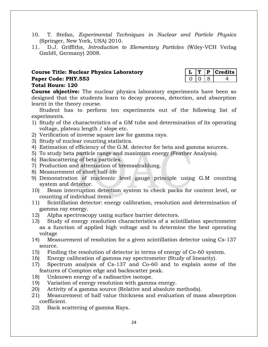- 10. T. Stefan, *Experimental Techniques in Nuclear and Particle Physics* (Springer, New York, USA) 2010.
- 11. D.J. Griffiths, *Introduction to Elementary Particles* (Wiley-VCH Verlag GmbH, Germany) 2008.

#### **Course Title: Nuclear Physics Laboratory Paper Code: PHY.553 Total Hours: 120**

|  | ES. |
|--|-----|
|  |     |

**Course objective:** The nuclear physics laboratory experiments have been so designed that the students learn to decay process, detection, and absorption learnt in the theory course.

Student has to perform ten experiments out of the following list of experiments.

- 1) Study of the characteristics of a GM tube and determination of its operating voltage, plateau length / slope etc.
- 2) Verification of inverse square law for gamma rays.
- 3) Study of nuclear counting statistics.
- 4) Estimation of efficiency of the G.M. detector for beta and gamma sources.
- 5) To study beta particle range and maximum energy (Feather Analysis).
- 6) Backscattering of beta particles.
- 7) Production and attenuation of bremsstrahlung.
- 8) Measurement of short half-life
- 9) Demonstration of nucleonic level gauge principle using G.M counting system and detector.
- 10) Beam interruption detection system to check packs for content level, or counting of individual items.
- 11) Scintillation detector: energy calibration, resolution and determination of gamma ray energy.
- 12) Alpha spectroscopy using surface barrier detectors.
- 13) Study of energy resolution characteristics of a scintillation spectrometer as a function of applied high voltage and to determine the best operating voltage
- 14) Measurement of resolution for a given scintillation detector using Cs-137 source.
- 15) Finding the resolution of detector in terms of energy of Co-60 system.
- 16) Energy calibration of gamma ray spectrometer (Study of linearity).
- 17) Spectrum analysis of Cs-137 and Co-60 and to explain some of the features of Compton edge and backscatter peak.
- 18) Unknown energy of a radioactive isotope.
- 19) Variation of energy resolution with gamma energy.
- 20) Activity of a gamma source (Relative and absolute methods).
- 21) Measurement of half value thickness and evaluation of mass absorption coefficient.
- 22) Back scattering of gamma Rays.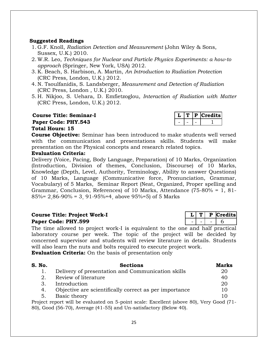### **Suggested Readings**

- 1. G.F. Knoll, *Radiation Detection and Measurement* (John Wiley & Sons, Sussex, U.K.) 2010.
- 2. W.R. Leo, *Techniques for Nuclear and Particle Physics Experiments: a how-to approach* (Springer, New York, USA) 2012.
- 3. K. Beach, S. Harbison, A. Martin, *An Introduction to Radiation Protection* (CRC Press, London, U.K.) 2012.
- 4. N. Tsoulfanidis, S. Landsberger, *Measurement and Detection of Radiation* (CRC Press, London , U.K.) 2010.
- 5. H. Nikjoo, S. Uehara, D. Emfietzoglou, *Interaction of Radiation with Matter*  (CRC Press, London, U.K.) 2012.

**Course Title: Seminar-I Paper Code: PHY.543 Total Hours: 15**

|  | dits:<br>٠e |
|--|-------------|
|  |             |

**Course Objective:** Seminar has been introduced to make students well versed with the communication and presentations skills. Students will make presentation on the Physical concepts and research related topics.

#### **Evaluation Criteria:**

Delivery (Voice, Pacing, Body Language, Preparation) of 10 Marks, Organization (Introduction, Division of themes, Conclusion, Discourse) of 10 Marks, Knowledge (Depth, Level, Authority, Terminology, Ability to answer Questions) of 10 Marks, Language (Communicative force, Pronunciation, Grammar, Vocabulary) of 5 Marks, Seminar Report (Neat, Organized, Proper spelling and Grammar, Conclusion, References) of 10 Marks, Attendance (75-80% = 1, 81- 85%=  $2,86-90\%$  =  $3,91-95\%$ =4, above 95%=5) of 5 Marks

### **Course Title: Project Work-I L I L T P Credits Paper Code: PHY.599**  $\vert - \vert - \vert - \vert 6$

The time allowed to project work-I is equivalent to the one and half practical laboratory course per week. The topic of the project will be decided by concerned supervisor and students will review literature in details. Students will also learn the nuts and bolts required to execute project work. **Evaluation Criteria:** On the basis of presentation only

**S. No. Sections Marks** 1. Delivery of presentation and Communication skills 20 2. Review of literature 40 3. Introduction 20 4. Objective are scientifically correct as per importance 10 5. Basic theory 10

Project report will be evaluated on 5-point scale: Excellent (above 80), Very Good (71- 80), Good (56-70), Average (41-55) and Un-satisfactory (Below 40).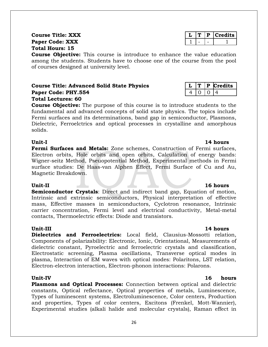### **Course Title: XXX L I L T P Credits Paper Code: XXX Total Hours: 15**

**Course Objective:** This course is introduce to enhance the value education among the students. Students have to choose one of the course from the pool of courses designed at university level.

### **Course Title: Advanced Solid State Physics Paper Code: PHY.554 Total Lectures: 60**

**Course Objective:** The purpose of this course is to introduce students to the fundamental and advanced concepts of solid state physics. The topics include Fermi surfaces and its determinations, band gap in semiconductor, Plasmons, Dielectric, Ferroelctrics and optical processes in crystalline and amorphous solids.

**Unit-I 14 hours Fermi Surfaces and Metals:** Zone schemes, Construction of Fermi surfaces, Electron orbits, Hole orbits and open orbits, Calculation of energy bands: Wigner-seitz Method, Pseuopotential Method, Experimental methods in Fermi surface studies: De Haas-van Alphen Effect, Fermi Surface of Cu and Au, Magnetic Breakdown.

### Unit-II 16 hours

**Semiconductor Crystals**: Direct and indirect band gap, Equation of motion, Intrinsic and extrinsic semiconductors, Physical interpretation of effective mass, Effective masses in semiconductors, Cyclotron resonance, Intrinsic carrier concentration, Fermi level and electrical conductivity, Metal-metal contacts, Thermoelectric effects: Diode and transistors.

**Unit-III 14 hours Dielectrics and Ferroelectrics:** Local field, Clausius-Mossotti relation, Components of polarizability: Electronic, Ionic, Orientational, Measurements of dielectric constant, Pyroelectric and ferroelectric crystals and classification, Electrostatic screening, Plasma oscillations, Transverse optical modes in plasma, Interaction of EM waves with optical modes: Polaritons, LST relation, Electron-electron interaction, Electron-phonon interactions: Polarons.

### **Unit-IV 16 hours**

**Plasmons and Optical Processes:** Connection between optical and dielectric constants, Optical reflectance, Optical properties of metals, Luminescence, Types of luminescent systems, Electroluminescence, Color centers, Production and properties, Types of color centers, Excitons (Frenkel, Mott-Wannier), Experimental studies (alkali halide and molecular crystals), Raman effect in

|  | Г | ts<br>c<br>н |
|--|---|--------------|
|  |   |              |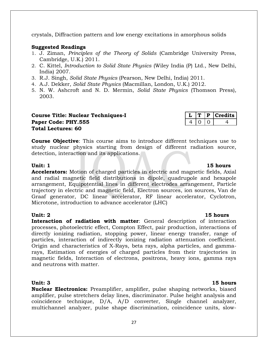crystals, Diffraction pattern and low energy excitations in amorphous solids

#### **Suggested Readings**

- 1. J. Ziman, *Principles of the Theory of Solids* (Cambridge University Press, Cambridge, U.K.) 2011.
- 2. C. Kittel, *Introduction to Solid State Physics* (Wiley India (P) Ltd., New Delhi, India) 2007.
- 3. R.J. Singh, *Solid State Physics* (Pearson, New Delhi, India) 2011.
- 4. A.J. Dekker, *Solid State Physics* (Macmillan, London, U.K.) 2012.
- 5. N. W. Ashcroft and N. D. Mermin, *Solid State Physics* (Thomson Press), 2003.

### **Course Title: Nuclear Techniques-I**  $\vert L \vert T \vert P \vert$  Credits **Paper Code: PHY.555** 4 0 0 4 **Total Lectures: 60**

**Course Objective**: This course aims to introduce different techniques use to study nuclear physics starting from design of different radiation source, detection, interaction and its applications.

**Accelerators:** Motion of charged particles in electric and magnetic fields, Axial and radial magnetic field distributions in dipole, quadrupole and hexapole arrangement, Equipotential lines in different electrodes arrangement, Particle trajectory in electric and magnetic field, Electron sources, ion sources, Van de Graaf generator, DC linear accelerator, RF linear accelerator, Cyclotron, Microtone, introduction to advance accelerator (LHC)

#### **Unit: 2 15 hours**

**Interaction of radiation with matter**: General description of interaction processes, photoelectric effect, Compton Effect, pair production, interactions of directly ionizing radiation, stopping power, linear energy transfer, range of particles, interaction of indirectly ionizing radiation attenuation coefficient. Origin and characteristics of X-Rays, beta rays, alpha particles, and gammarays, Estimation of energies of charged particles from their trajectories in magnetic fields, Interaction of electrons, positrons, heavy ions, gamma rays and neutrons with matter.

**Nuclear Electronics:** Preamplifier, amplifier, pulse shaping networks, biased amplifier, pulse stretchers delay lines, discriminator. Pulse height analysis and coincidence technique, D/A, A/D converter, Single channel analyzer, multichannel analyzer, pulse shape discrimination, coincidence units, slow-

#### **Unit: 1 15 hours**

### **Unit: 3** 15 hours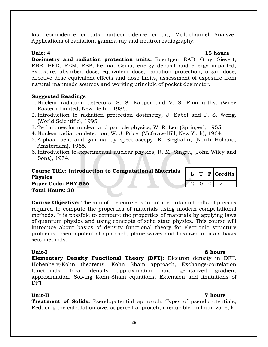28

fast coincidence circuits, anticoincidence circuit, Multichannel Analyzer Applications of radiation, gamma-ray and neutron radiography.

#### **Unit: 4 15 hours**

**Dosimetry and radiation protection units:** Roentgen, RAD, Gray, Sievert, RBE, BED, REM, REP, kerma, Cema, energy deposit and energy imparted, exposure, absorbed dose, equivalent dose, radiation protection, organ dose, effective dose equivalent effects and dose limits, assessment of exposure from natural manmade sources and working principle of pocket dosimeter.

### **Suggested Readings**

- 1. Nuclear radiation detectors, S. S. Kappor and V. S. Rmanurthy. (Wiley Eastern Limited, New Delhi,) 1986.
- 2. Introduction to radiation protection dosimetry, J. Sabol and P. S. Weng, (World Scientific), 1995.
- 3. Techniques for nuclear and particle physics, W. R. Len (Springer), 1955.
- 4. Nuclear radiation detection, W. J. Price, (McGraw-Hill, New York), 1964.
- 5. Alphas, beta and gamma-ray spectroscopy, K. Siegbahn, (North Holland, Amsterdam), 1965.
- 6. Introduction to experimental nuclear physics, R. M. Singru, (John Wiley and Sons), 1974.

| <b>Course Title: Introduction to Computational Materials</b><br><b>Physics</b> |  | $L  T   P $ Credits |
|--------------------------------------------------------------------------------|--|---------------------|
| Paper Code: PHY.556                                                            |  |                     |
| <b>Total Hours: 30</b>                                                         |  |                     |

**Course Objective:** The aim of the course is to outline nuts and bolts of physics required to compute the properties of materials using modern computational methods. It is possible to compute the properties of materials by applying laws of quantum physics and using concepts of solid state physics. This course will introduce about basics of density functional theory for electronic structure problems, pseudopotential approach, plane waves and localized orbitals basis sets methods.

#### **Unit-I 8 hours**

**Elementary Density Functional Theory (DFT):** Electron density in DFT, Hohenberg-Kohn theorems, Kohn Sham approach, Exchange-correlation functionals: local density approximation and genitalized gradient approximation, Solving Kohn-Sham equations, Extension and limitations of DFT.

### **Unit-II 7 hours**

**Treatment of Solids:** Pseudopotential approach, Types of pseudopotentials, Reducing the calculation size: supercell approach, irreducible brillouin zone, k-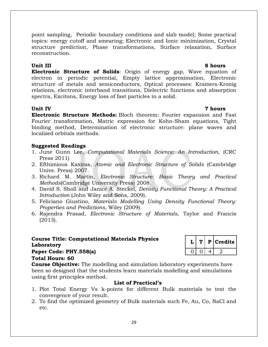point sampling, Periodic boundary conditions and slab model; Some practical topics: energy cutoff and smearing; Electronic and Ionic minimization, Crystal structure prediction, Phase transformations, Surface relaxation, Surface reconstruction.

### **Unit III 8 hours**

**Electronic Structure of Solids**: Origin of energy gap, Wave equation of electron in periodic potential, Empty lattice approximation, Electronic structure of metals and semiconductors, Optical processes: Kramers-Kronig relations, electronic interband transitions, Dielectric functions and absorption spectra, Excitons, Energy loss of fast particles in a solid.

### **Unit IV 7 hours**

**Electronic Structure Methods:** Bloch theorem: Fourier expansion and Fast Fourier transformation, Matric expression for Kohn-Sham equations, Tight binding method, Determination of electronic structure: plane waves and localized orbitals methods.

### **Suggested Readings**

- 1. June Gunn Lee, *Computational Materials Science: An Introduction*, (CRC Press 2011)
- 2. Efthimious Kaxiras, *Atomic and Electronic Structure of Solids* (Cambridge Unive. Press) 2007.
- 3. Richard M. Martin, *Electronic Structure: Basic Theory and Practical Methods*(Cambridge University Press) 2008.
- 4. David S. Sholl and Janice A. Steckel, *Density Functional Theory: A Practical Introduction* (John Wiley and Sons, 2009).
- 5. Feliciano Giustino, *Materials Modelling Using Density Functional Theory: Properties and Predictions*, Wiley (2009).
- 6. Rajendra Prasad, *Electronic Structure of Materials*, Taylor and Francis (2013).

**Course Title: Computational Materials Physics Laboratory <sup>L</sup> <sup>T</sup> <sup>P</sup> Credits Paper Code: PHY.558(a) Total Hours: 60**

|  | P | Credits |
|--|---|---------|
|  |   |         |

**Course Objective:** The modelling and simulation laboratory experiments have been so designed that the students learn materials modelling and simulations using first principles method.

### **List of Practical's**

- 1. Plot Total Energy Vs k-points for different Bulk materials to test the convergence of your result.
- 2. To find the optimized geometry of Bulk materials such Fe, Au, Co, NaCl and etc.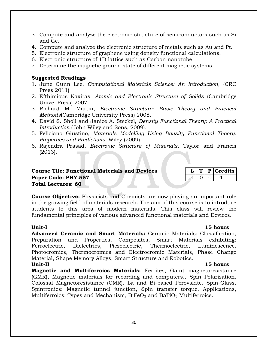- 3. Compute and analyze the electronic structure of semiconductors such as Si and Ge.
- 4. Compute and analyze the electronic structure of metals such as Au and Pt.
- 5. Electronic structure of graphene using density functional calculations.
- 6. Electronic structure of 1D lattice such as Carbon nanotube
- 7. Determine the magnetic ground state of different magnetic systems.

#### **Suggested Readings**

- 1. June Gunn Lee, *Computational Materials Science: An Introduction*, (CRC Press 2011)
- 2. Efthimious Kaxiras, *Atomic and Electronic Structure of Solids* (Cambridge Unive. Press) 2007.
- 3. Richard M. Martin, *Electronic Structure: Basic Theory and Practical Methods*(Cambridge University Press) 2008.
- 4. David S. Sholl and Janice A. Steckel, *Density Functional Theory: A Practical Introduction* (John Wiley and Sons, 2009).
- 5. Feliciano Giustino, *Materials Modelling Using Density Functional Theory: Properties and Predictions*, Wiley (2009).
- 6. Rajendra Prasad, *Electronic Structure of Materials*, Taylor and Francis (2013).

### **Course Tile: Functional Materials and Devices Paper Code: PHY.557 Total Lectures: 60**

|  | u | <b>redits</b> |
|--|---|---------------|
|  |   |               |

**Course Objective:** Physicists and Chemists are now playing an important role in the growing field of materials research. The aim of this course is to introduce students to this area of modern materials. This class will review the fundamental principles of various advanced functional materials and Devices.

#### **Unit-I 15 hours**

**Advanced Ceramic and Smart Materials:** Ceramic Materials: Classification, Preparation and Properties, Composites, Smart Materials exhibiting: Ferroelectric, Dielectrics, Piezoelectric, Thermoelectric, Luminescence, Photocromics, Thermocromics and Electrocromic Materials, Phase Change Material, Shape Memory Alloys, Smart Structure and Robotics.

### **Unit-II 15 hours**

**Magnetic and Multiferroics Materials:** Ferrites, Gaint magnetoresistance (GMR), Magnetic materials for recording and computers., Spin Polarization, Colossal Magnetoresistance (CMR), La and Bi-based Perovskite, Spin-Glass, Spintronics: Magnetic tunnel junction, Spin transfer torque, Applications, Multiferroics: Types and Mechanism,  $BiFeO<sub>3</sub>$  and  $BaTiO<sub>3</sub>$  Multiferroics.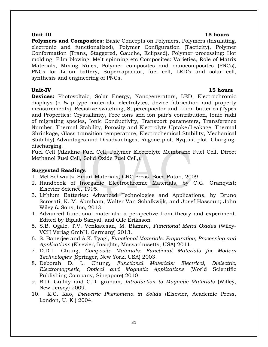**Polymers and Composites:** [Basic Concepts on Polymers,](javascript:loadvideo() Polymers (Insulating, electronic and functionalized), Polymer Configuration (Tacticity), Polymer Conformation (Trans, Staggered, Gauche, Eclipsed), Polymer processing: Hot molding, Film blowing, Melt spinning etc Composites: Varieties, Role of Matrix Materials, Mixing Rules, Polymer composites and nanocomposites (PNCs), PNCs for Li-ion battery, Supercapacitor, fuel cell, LED's and solar cell, synthesis and [engineering of PNCs.](javascript:loadvideo()

#### **Unit-IV 15 hours**

**Devices:** Photovoltaic, Solar Energy, Nanogenerators, LED, Electrochromic displays (n & p-type materials, electrolytes, device fabrication and property measurements), Resistive switching, Supercapacitor and Li-ion batteries (Types and Properties: Crystallinity, Free ions and ion pair's contribution, Ionic radii of migrating species, Ionic Conductivity, Transport parameters, Transference Number, Thermal Stability, Porosity and Electrolyte Uptake/Leakage, Thermal Shrinkage, Glass transition temperature, Electrochemical Stability, Mechanical Stability) Advantages and Disadvantages, Ragone plot, Nyquist plot, Chargingdischarging.

Fuel Cell (Alkaline Fuel Cell, Polymer Electrolyte Membrane Fuel Cell, Direct Methanol Fuel Cell, Solid Oxide Fuel Cell,).

### **Suggested Readings**

- 1. Mel Schwartz, Smart Materials, CRC Press, Boca Raton, 2009
- 2. Handbook of Inorganic Electrochromic Materials, by C.G. Granqvist; Elsevier Science, 1995.
- 3. Lithium Batteries: Advanced Technologies and Applications, by Bruno Scrosati, K. M. Abraham, Walter Van Schalkwijk, and Jusef Hassoun; John Wiley & Sons, Inc, 2013.
- 4. Advanced functional materials: a perspective from theory and experiment. Edited by Biplab Sanyal, and Olle Eriksson
- 5. S.B. Ogale, T.V. Venkatesan, M. Blamire, *Functional Metal Oxides* (Wiley-VCH Verlag GmbH, Germany) 2013.
- 6. S. Banerjee and A.K. Tyagi, *Functional Materials: Preparation, Processing and Applications* (Elsevier, Insights, Massachusetts, USA) 2011.
- 7. D.D.L. Chung, *Composite Materials: Functional Materials for Modern Technologies* (Springer, New York, USA) 2003.
- 8. Deborah D. L. Chung, *Functional Materials: Electrical, Dielectric, Electromagnetic, Optical and Magnetic Applications* (World Scientific Publishing Company, Singapore) 2010.
- 9. B.D. Cuility and C.D. graham, *Introduction to Magnetic Materials* (Willey, New Jersey) 2009.
- 10. K.C. Kao, *Dielectric Phenomena in Solids* (Elsevier, Academic Press, London, U. K.) 2004.

#### **Unit-III 15 hours**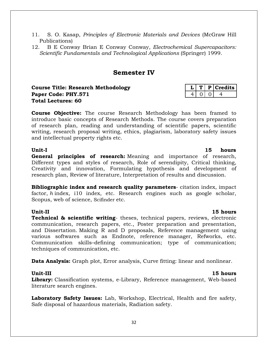- 11. S. O. Kasap, *Principles of Electronic Materials and Devices* (McGraw Hill Publications)
- 12. [B E Conway Brian E Conway Conway,](http://www.flipkart.com/author/b-e-conway-brian-e-conway-conway) *Electrochemical Supercapacitors: Scientific Fundamentals and Technological Applications* (Springer) 1999.

### **Semester IV**

**Course Title: Research Methodology Paper Code: PHY.571 Total Lectures: 60**

**Course Objective:** The course Research Methodology has been framed to introduce basic concepts of Research Methods. The course covers preparation of research plan, reading and understanding of scientific papers, scientific writing, research proposal writing, ethics, plagiarism, laboratory safety issues and intellectual property rights etc.

#### **Unit-I 15 hours**

**General principles of research:** Meaning and importance of research, Different types and styles of research, Role of serendipity, Critical thinking, Creativity and innovation, Formulating hypothesis and development of research plan, Review of literature, Interpretation of results and discussion.

**Bibliographic index and research quality parameters**- citation index, impact factor, *h* index, i10 index, etc. Research engines such as google scholar, Scopus, web of science, Scifinder etc.

#### **Unit-II** 15 hours

**Technical & scientific writing**- theses, technical papers, reviews, electronic communication, research papers, etc., Poster preparation and presentation, and Dissertation. Making R and D proposals, Reference management using various softwares such as Endnote, reference manager, Refworks, etc. Communication skills–defining communication; type of communication; techniques of communication, etc.

**Data Analysis:** Graph plot, Error analysis, Curve fitting: linear and nonlinear.

**Library:** Classification systems, e-Library, Reference management, Web-based literature search engines.

**Laboratory Safety Issues:** Lab, Workshop, Electrical, Health and fire safety, Safe disposal of hazardous materials, Radiation safety.

|  | ш | ⊣ts ∶<br>ı |
|--|---|------------|
|  |   |            |

### **Unit-III 15 hours**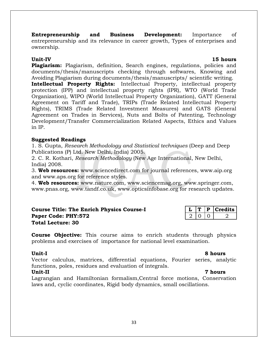**Entrepreneurship and Business Development:** Importance of entrepreneurship and its relevance in career growth, Types of enterprises and ownership.

#### **Unit-IV 15 hours**

**Plagiarism:** Plagiarism, definition, Search engines, regulations, policies and documents/thesis/manuscripts checking through softwares, Knowing and Avoiding Plagiarism during documents/thesis/manuscripts/ scientific writing. **Intellectual Property Rights:** Intellectual Property, intellectual property protection (IPP) and intellectual property rights (IPR), WTO (World Trade Organization), WIPO (World Intellectual Property Organization), GATT (General Agreement on Tariff and Trade), TRIPs (Trade Related Intellectual Property Rights), TRIMS (Trade Related Investment Measures) and GATS (General

Agreement on Trades in Services), Nuts and Bolts of Patenting, Technology Development/Transfer Commercialization Related Aspects, Ethics and Values in IP.

### **Suggested Readings**

1. S. Gupta, *Research Methodology and Statistical techniques* (Deep and Deep Publications (P) Ltd. New Delhi, India) 2005.

2. C. R. Kothari, *Research Methodology* (New Age International, New Delhi, India) 2008.

3. **Web resources:** www.sciencedirect.com for journal references, www.aip.org and www.aps.org for reference styles.

4. **Web resources:** www.nature.com, www.sciencemag.org, www.springer.com, www.pnas.org, www.tandf.co.uk, www.opticsinfobase.org for research updates.

### **Course Title: The Enrich Physics Course-I L T P Credits Paper Code: PHY:572** 2 0 0 2 **Total Lecture: 30**

**Course Objective:** This course aims to enrich students through physics problems and exercises of importance for national level examination.

Vector calculus, matrices, differential equations, Fourier series, analytic functions, poles, residues and evaluation of integrals.

### **Unit-II 7 hours**

Lagrangian and Hamiltonian formalism,Central force motions, Conservation laws and, cyclic coordinates, Rigid body dynamics, small oscillations.

#### **Unit-I 8 hours**

#### 33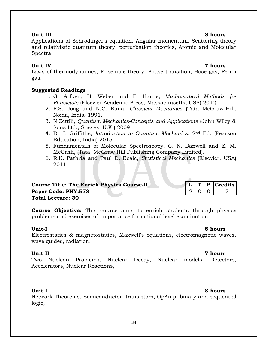#### **Unit-III 8 hours**

### Applications of Schrodinger's equation, Angular momentum, Scattering theory and relativistic quantum theory, perturbation theories, Atomic and Molecular Spectra.

#### **Unit-IV 7 hours**

Laws of thermodynamics, Ensemble theory, Phase transition, Bose gas, Fermi gas.

### **Suggested Readings**

- 1. G. Arfken, H. Weber and F. Harris, *Mathematical Methods for Physicists* (Elsevier Academic Press, Massachusetts, USA) 2012.
- 2. P.S. Joag and N.C. Rana, *Classical Mechanics* (Tata McGraw-Hill, Noida, India) 1991.
- 3. N.Zettili, *Quantum Mechanics-Concepts and Applications* (John Wiley & Sons Ltd., Sussex, U.K.) 2009.
- 4. D. J. Griffiths, *Introduction to Quantum Mechanics*, 2nd Ed. (Pearson Education, India) 2015.
- 5. Fundamentals of Molecular Spectroscopy, C. N. Banwell and E. M. McCash, (Tata, McGraw Hill Publishing Company Limited).
- 6. R.K. Pathria and Paul D. Beale, *Statistical Mechanics* (Elsevier, USA) 2011.

| <b>Course Title: The Enrich Physics Course-II</b> |  | $\ L\ $ $\Gamma\ P\ $ Credits |
|---------------------------------------------------|--|-------------------------------|
| Paper Code: PHY:573                               |  |                               |
| <b>Total Lecture: 30</b>                          |  |                               |

**Course Objective:** This course aims to enrich students through physics problems and exercises of importance for national level examination.

#### **Unit-I 8 hours**

Electrostatics & magnetostatics, Maxwell's equations, electromagnetic waves, wave guides, radiation.

### **Unit-II 7 hours**

Two Nucleon Problems, Nuclear Decay, Nuclear models, Detectors, Accelerators, Nuclear Reactions,

### **Unit-I 8 hours**

Network Theorems, Semiconductor, transistors, OpAmp, binary and sequential logic,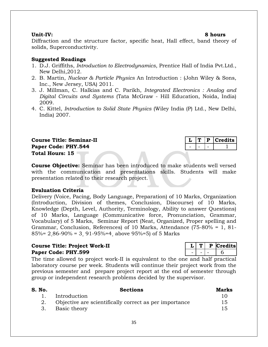#### **Unit-IV: 8 hours**

Diffraction and the structure factor, specific heat, Hall effect, band theory of solids, Superconductivity.

#### **Suggested Readings**

- 1. D.J. Griffiths, *Introduction to Electrodynamics*, Prentice Hall of India Pvt.Ltd., New Delhi,2012.
- 2. B. Martin, *Nuclear & Particle Physics* An Introduction : (John Wiley & Sons, Inc., New Jersey, USA) 2011.
- 3. J. Millman, C. Halkias and C. Parikh, *Integrated Electronics : Analog and Digital Circuits and Systems* (Tata McGraw - Hill Education, Noida, India) 2009.
- 4. C. Kittel, *Introduction to Solid State Physics* (Wiley India (P) Ltd., New Delhi, India) 2007.

**Course Title: Seminar-II L T P Credits Paper Code: PHY.544**  $\vert \cdot \vert \cdot \vert \cdot \vert \cdot \vert \cdot \vert$ **Total Hours: 15**

**Course Objective:** Seminar has been introduced to make students well versed with the communication and presentations skills. Students will make presentation related to their research project.

#### **Evaluation Criteria**

Delivery (Voice, Pacing, Body Language, Preparation) of 10 Marks, Organization (Introduction, Division of themes, Conclusion, Discourse) of 10 Marks, Knowledge (Depth, Level, Authority, Terminology, Ability to answer Questions) of 10 Marks, Language (Communicative force, Pronunciation, Grammar, Vocabulary) of 5 Marks, Seminar Report (Neat, Organized, Proper spelling and Grammar, Conclusion, References) of 10 Marks, Attendance (75-80% = 1, 81- 85%= 2,86-90% = 3, 91-95%=4, above 95%=5) of 5 Marks

### **Course Title: Project Work-II**  $\vert L \vert T \vert P$  **Credits Paper Code: PHY.599**  $\vert - \vert - \vert - \vert 6$

The time allowed to project work-II is equivalent to the one and half practical laboratory course per week. Students will continue their project work from the previous semester and prepare project report at the end of semester through group or independent research problems decided by the supervisor.

| S. No. | <b>Sections</b>                                        | <b>Marks</b> |
|--------|--------------------------------------------------------|--------------|
|        | 1. Introduction                                        | 10           |
|        | Objective are scientifically correct as per importance | 15           |
|        | Basic theory                                           | 15           |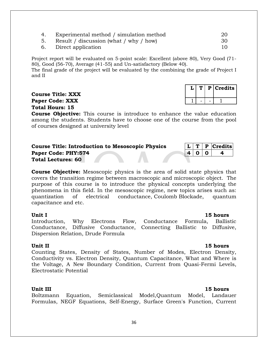- 4. Experimental method / simulation method 20
- 5. Result / discussion (what / why / how) 30
- 6. Direct application 10

Project report will be evaluated on 5-point scale: Excellent (above 80), Very Good (71- 80), Good (56-70), Average (41-55) and Un-satisfactory (Below 40).

The final grade of the project will be evaluated by the combining the grade of Project I and II

### **Course Title: XXX Paper Code: XXX Total Hours: 15**

**Course Objective:** This course is introduce to enhance the value education among the students. Students have to choose one of the course from the pool of courses designed at university level

| <b>Course Title: Introduction to Mesoscopic Physics</b> |       | $ L $ T   P   Cred     |
|---------------------------------------------------------|-------|------------------------|
| Paper Code: PHY:574                                     | 4 0 0 | $\boldsymbol{\Lambda}$ |
| <b>Total Lectures: 60</b>                               |       |                        |

**Course Objective:** Mesoscopic physics is the area of solid state physics that covers the transition regime between macroscopic and microscopic object. The purpose of this course is to introduce the physical concepts underlying the phenomena in this field. In the mesoscopic regime, new topics arises such as: quantization of electrical conductance, Coulomb Blockade, quantum capacitance and etc.

### **Unit I 15 hours**

Introduction, Why Electrons Flow, Conductance Formula, Ballistic Conductance, Diffusive Conductance, Connecting Ballistic to Diffusive, Dispersion Relation, Drude Formula

Counting States, Density of States, Number of Modes, Electron Density, Conductivity vs. Electron Density, Quantum Capacitance, What and Where is the Voltage, A New Boundary Condition, Current from Quasi-Fermi Levels, Electrostatic Potential

**Unit III 15 hours** Boltzmann Equation, Semiclassical Model,Quantum Model, Landauer Formulas, NEGF Equations, Self-Energy, Surface Green's Function, Current

### **Unit II 15 hours**

# **Course Title: Introduction to Mesoscopic Physics L T P Credits**

**L T P Credits**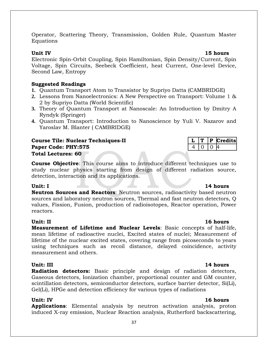37

Operator, Scattering Theory, Transmission, Golden Rule, Quantum Master Equations

Electronic Spin-Orbit Coupling, Spin Hamiltonian, Spin Density/Current, Spin Voltage, Spin Circuits, Seebeck Coefficient, heat Current, One-level Device, Second Law, Entropy

### **Suggested Readings**

- **1.** Quantum Transport Atom to Transistor by Supriyo Datta (CAMBRIDGE)
- **2.** Lessons from Nanoelectronics: A New Perspective on Transport: Volume 1 & 2 by Supriyo Datta (World Scientific)
- **3.** Theory of Quantum Transport at Nanoscale: An Introduction by Dmitry A Ryndyk (Springer)
- **4.** Quantum Transport: Introduction to Nanoscience by Yuli V. Nazarov and Yaroslav M. Blanter ( CAMBRIDGE)

**Course Tile: Nuclear Techniques-II L T P Credits Paper Code: PHY:575** 4 0 0 **Total Lectures: 60**

**Course Objective**: This course aims to introduce different techniques use to study nuclear physics starting from design of different radiation source, detection, interaction and its applications.

**Neutron Sources and Reactors**: Neutron sources, radioactivity based neutron sources and laboratory neutron sources, Thermal and fast neutron detectors, Q values, Fission, Fusion, production of radioisotopes, Reactor operation, Power reactors.

### **Unit: II 16 hours**

**Measurement of Lifetime and Nuclear Levels**: Basic concepts of half-life, mean lifetime of radioactive nuclei, Excited states of nuclei; Measurement of lifetime of the nuclear excited states, covering range from picoseconds to years using techniques such as recoil distance, delayed coincidence, activity measurement and others.

**Unit: III 14 hours Radiation detectors:** Basic principle and design of radiation detectors, Gaseous detectors, Ionization chamber, proportional counter and GM counter, scintillation detectors, semiconductor detectors, surface barrier detector, Si(Li), Gel(Li), HPGe and detection efficiency for various types of radiations

### **Unit: IV 16 hours**

**Applications**: Elemental analysis by neutron activation analysis, proton induced X-ray emission, Nuclear Reaction analysis, Rutherford backscattering,

### **Unit: I 14 hours**

### **Unit IV 15 hours**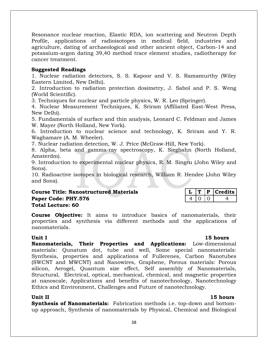Resonance nuclear reaction, Elastic RDA, ion scattering and Neutron Depth Profile, applications of radioisotopes in medical field, industries and agriculture, dating of archaeological and other ancient object, Carbon-14 and potassium-argon dating 39,40 method trace element studies, radiotherapy for cancer treatment.

#### **Suggested Readings**

1. Nuclear radiation detectors, S. S. Kapoor and V. S. Ramamurthy (Wiley Eastern Limited, New Delhi).

2. Introduction to radiation protection dosimetry, J. Sabol and P. S. Weng (World Scientific).

3. Techniques for nuclear and particle physics, W. R. Leo (Springer).

4. Nuclear Measurement Techniques, K. Sriram (Affiliated East-West Press, New Delhi).

5. Fundamentals of surface and thin analysis, Leonard C. Feldman and James W. Mayer (North Holland, New York).

6. Introduction to nuclear science and technology, K. Sriram and Y. R. Waghamare (A. M. Wheeler).

7. Nuclear radiation detection, W. J. Price (McGraw-Hill, New York).

8. Alpha, beta and gamma-ray spectroscopy, K. Siegbahn (North Holland, Amsterdm).

9. Introduction to experimental nuclear physics, R. M. Singru (John Wiley and Sons).

10. Radioactive isotopes in biological research, William R. Hendee (John Wiley and Sons).

### **Course Title: Nanostructured Materials Paper Code: PHY.576 Total Lecture: 60**

|  | ٠<br>÷.,<br>۰<br>$\sim$ |
|--|-------------------------|
|  |                         |

**Course Objective:** It aims to introduce basics of nanomaterials, their properties and synthesis via different methods and the applications of nanomaterials.

### **Unit I 15 hours**

**Nanomaterials, Their Properties and Applications:** Low-dimensional materials: Qunatum dot, tube and well, Some special nanomaterials: Synthesis, properties and applications of Fullerenes, Carbon Nanotubes (SWCNT and MWCNT) and Nanowires, Graphene, Porous materials: Porous silicon, Aerogel, Quantum size effect, Self assembly of Nanomaterials, Structural, Electrical, optical, mechanical, chemical, and magnetic properties at nanoscale, Applications and benefits of nanotechnology, Nanotechnology Ethics and Environment, Challenges and Future of nanotechnology.

### **Unit II** 15 hours

**Synthesis of Nanomaterials:** Fabrication methods i.e. top-down and bottomup approach, Synthesis of nanomaterials by Physical, Chemical and Biological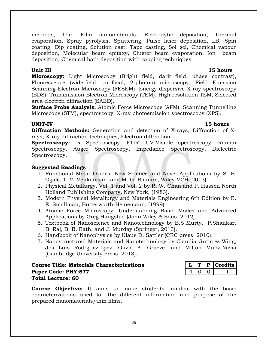methods, Thin Film nanomaterials, Electrolytic deposition, Thermal evaporation, Spray pyrolysis, Sputtering, Pulse laser deposition, LB, Spin coating, Dip coating, Solution cast, Tape casting, Sol gel, Chemical vapour deposition, Molecular beam epitaxy, Cluster beam evaporation, Ion beam deposition, Chemical bath deposition with capping techniques.

#### **Unit III** 15 hours **15 hours**

**Microscopy:** Light Microscopy (Bright field, dark field, phase contrast), Fluorescence (wide-field, confocal, 2-photon) microscopy, Field Emission Scanning Electron Microscopy (FESEM), Energy-dispersive X-ray spectroscopy (EDS), Transmission Electron Microscopy (TEM), High resolution TEM, Selected area electron diffraction (SAED).

**Surface Probe Analysis:** Atomic Force Microscope (AFM), Scanning Tunnelling Microscope (STM), spectroscopy, X-ray photoemission spectroscopy (XPS).

### **UNIT-IV 15 hours**

**Diffraction Methods:** Generation and detection of X-rays, Diffraction of Xrays, X-ray diffraction techniques, Electron diffraction.

**Spectroscopy:** IR Spectroscopy, FTIR, UV-Visible spectroscopy, Raman Spectroscopy, Auger Spectroscopy, Impedance Spectroscopy, Dielectric Spectroscopy.

### **Suggested Readings**

- 1. Functional Metal Oxides: New Science and Novel Applications by S. B. Ogale, T. V. Venkatesan, and M. G. Blamire, Wiley-VCH (2013)
- 2. Physical Metallurgy, Vol. 1 and Vol. 2 by R. W. Chan and P. Hassen North Holland Publishing Company, New York, (1983).
- 3. Modern Physical Metallurgy and Materials Engineering 6th Edition by R. E. Smallman, Butterworth-Heinemann, (1999)
- 4. Atomic Force Microscopy: Understanding Basic Modes and Advanced Applications by Greg Haugstad (John Wiley & Sons, 2012).
- 5. Textbook of Nanoscience and Nanotechnology by B.S Murty, P.Shankar, B. Raj, B. B. Rath, and J. Murday (Springer, 2013).
- 6. [Handbook of Nanophysics](http://www.taylorandfrancis.com/books/details/9781420075465/) by [Klaus D. Sattler](http://www.taylorandfrancis.com/books/search/author/klaus_d_sattler/) (CRC press, 2010).
- 7. Nanostructured Materials and Nanotechnology by Claudia Gutirrez-Wing, Jos Luis Rodrguez-Lpez, Olivia A. Graeve, and Milton Muoz-Navia (Cambridge University Press, 2013).

### **Course Title: Materials Characterizations Paper Code: PHY:577 Total Lecture: 60**

|  |  | ts<br>n |
|--|--|---------|
|  |  |         |

**Course Objective:** It aims to make students familiar with the basic characterizations used for the different information and purpose of the prepared nanomaterials/thin films.